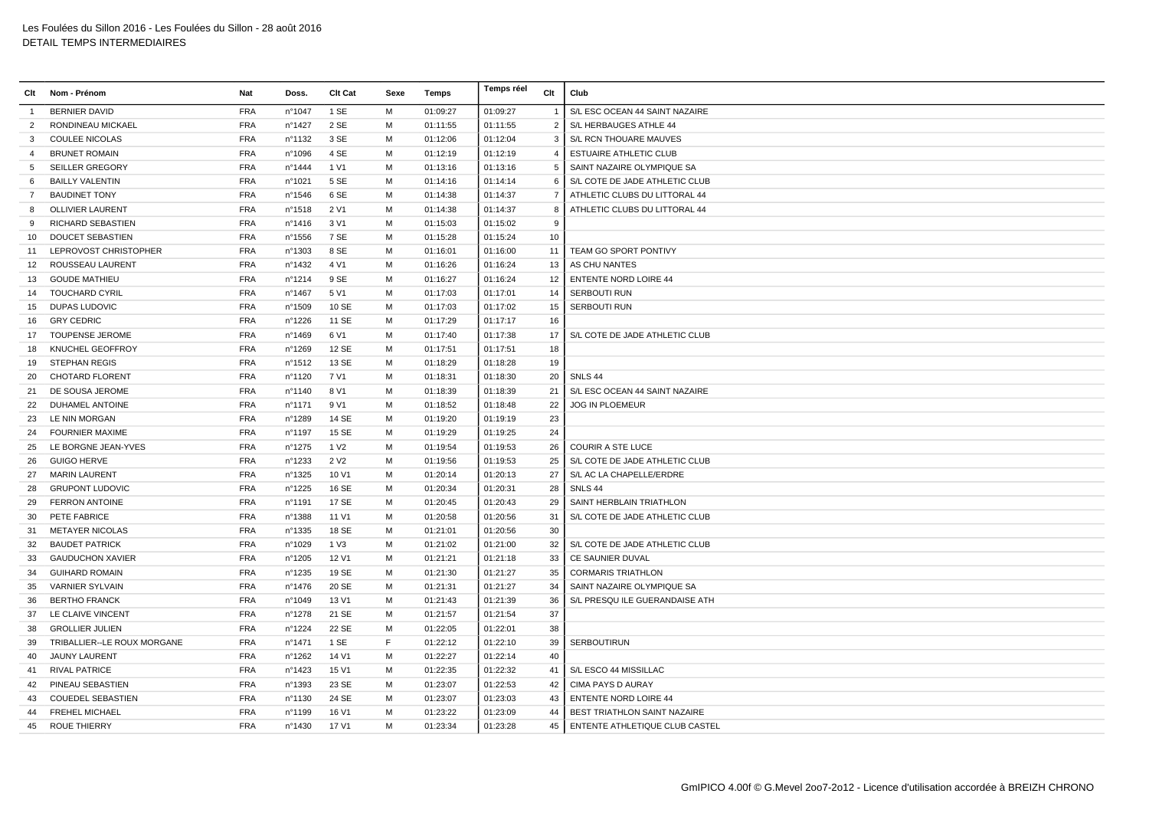| Clt            | Nom - Prénom                | <b>Nat</b> | Doss.            | Clt Cat          | Sexe | Temps    | Temps réel | Clt            | Club                                |
|----------------|-----------------------------|------------|------------------|------------------|------|----------|------------|----------------|-------------------------------------|
| -1             | <b>BERNIER DAVID</b>        | <b>FRA</b> | n°1047           | 1 SE             | M    | 01:09:27 | 01:09:27   | $\mathbf{1}$   | S/L ESC OCEAN 44 SAINT NAZAIRE      |
| 2              | RONDINEAU MICKAEL           | <b>FRA</b> | n°1427           | 2 SE             | M    | 01:11:55 | 01:11:55   | $\overline{2}$ | S/L HERBAUGES ATHLE 44              |
| 3              | <b>COULEE NICOLAS</b>       | <b>FRA</b> | nº1132           | 3 SE             | M    | 01:12:06 | 01:12:04   | 3              | S/L RCN THOUARE MAUVES              |
| 4              | <b>BRUNET ROMAIN</b>        | <b>FRA</b> | n°1096           | 4 SE             | м    | 01:12:19 | 01:12:19   | $\overline{4}$ | <b>ESTUAIRE ATHLETIC CLUB</b>       |
| 5              | <b>SEILLER GREGORY</b>      | <b>FRA</b> | n°1444           | 1 V1             | м    | 01:13:16 | 01:13:16   | 5              | SAINT NAZAIRE OLYMPIQUE SA          |
| 6              | <b>BAILLY VALENTIN</b>      | <b>FRA</b> | n°1021           | 5 SE             | M    | 01:14:16 | 01:14:14   | 6              | S/L COTE DE JADE ATHLETIC CLUB      |
| $\overline{7}$ | <b>BAUDINET TONY</b>        | <b>FRA</b> | $n^{\circ}$ 1546 | 6 SE             | м    | 01:14:38 | 01:14:37   | $\overline{7}$ | ATHLETIC CLUBS DU LITTORAL 44       |
| 8              | <b>OLLIVIER LAURENT</b>     | <b>FRA</b> | n°1518           | 2 V1             | M    | 01:14:38 | 01:14:37   | 8              | ATHLETIC CLUBS DU LITTORAL 44       |
| 9              | <b>RICHARD SEBASTIEN</b>    | <b>FRA</b> | n°1416           | 3 V1             | M    | 01:15:03 | 01:15:02   | 9              |                                     |
| 10             | <b>DOUCET SEBASTIEN</b>     | <b>FRA</b> | n°1556           | 7 SE             | м    | 01:15:28 | 01:15:24   | 10             |                                     |
| 11             | LEPROVOST CHRISTOPHER       | <b>FRA</b> | n°1303           | 8 SE             | M    | 01:16:01 | 01:16:00   | 11             | TEAM GO SPORT PONTIVY               |
| 12             | ROUSSEAU LAURENT            | <b>FRA</b> | nº1432           | 4 V1             | м    | 01:16:26 | 01:16:24   | 13             | AS CHU NANTES                       |
| 13             | <b>GOUDE MATHIEU</b>        | <b>FRA</b> | n°1214           | 9 SE             | M    | 01:16:27 | 01:16:24   | 12             | <b>ENTENTE NORD LOIRE 44</b>        |
| 14             | <b>TOUCHARD CYRIL</b>       | <b>FRA</b> | n°1467           | 5 V1             | м    | 01:17:03 | 01:17:01   | 14             | <b>SERBOUTI RUN</b>                 |
| 15             | DUPAS LUDOVIC               | <b>FRA</b> | n°1509           | 10 SE            | M    | 01:17:03 | 01:17:02   | 15             | SERBOUTI RUN                        |
| 16             | <b>GRY CEDRIC</b>           | <b>FRA</b> | n°1226           | 11 SE            | M    | 01:17:29 | 01:17:17   | 16             |                                     |
| 17             | <b>TOUPENSE JEROME</b>      | <b>FRA</b> | n°1469           | 6 V1             | M    | 01:17:40 | 01:17:38   | 17             | S/L COTE DE JADE ATHLETIC CLUB      |
| 18             | KNUCHEL GEOFFROY            | <b>FRA</b> | n°1269           | 12 SE            | M    | 01:17:51 | 01:17:51   | 18             |                                     |
| 19             | <b>STEPHAN REGIS</b>        | <b>FRA</b> | n°1512           | 13 SE            | M    | 01:18:29 | 01:18:28   | 19             |                                     |
| 20             | <b>CHOTARD FLORENT</b>      | <b>FRA</b> | n°1120           | 7 V1             | м    | 01:18:31 | 01:18:30   | 20             | SNLS 44                             |
| 21             | DE SOUSA JEROME             | <b>FRA</b> | n°1140           | 8 V1             | M    | 01:18:39 | 01:18:39   | 21             | S/L ESC OCEAN 44 SAINT NAZAIRE      |
| 22             | <b>DUHAMEL ANTOINE</b>      | <b>FRA</b> | n°1171           | 9 V1             | м    | 01:18:52 | 01:18:48   | 22             | <b>JOG IN PLOEMEUR</b>              |
| 23             | LE NIN MORGAN               | <b>FRA</b> | n°1289           | 14 SE            | м    | 01:19:20 | 01:19:19   | 23             |                                     |
| 24             | <b>FOURNIER MAXIME</b>      | <b>FRA</b> | n°1197           | 15 SE            | M    | 01:19:29 | 01:19:25   | 24             |                                     |
| 25             | LE BORGNE JEAN-YVES         | <b>FRA</b> | n°1275           | 1 V <sub>2</sub> | M    | 01:19:54 | 01:19:53   | 26             | <b>COURIR A STE LUCE</b>            |
| 26             | <b>GUIGO HERVE</b>          | <b>FRA</b> | nº1233           | 2 V <sub>2</sub> | M    | 01:19:56 | 01:19:53   | 25             | S/L COTE DE JADE ATHLETIC CLUB      |
| 27             | <b>MARIN LAURENT</b>        | <b>FRA</b> | n°1325           | 10 V1            | M    | 01:20:14 | 01:20:13   | 27             | S/L AC LA CHAPELLE/ERDRE            |
| 28             | <b>GRUPONT LUDOVIC</b>      | <b>FRA</b> | n°1225           | 16 SE            | M    | 01:20:34 | 01:20:31   | 28             | SNLS <sub>44</sub>                  |
| 29             | <b>FERRON ANTOINE</b>       | <b>FRA</b> | n°1191           | 17 SE            | м    | 01:20:45 | 01:20:43   | 29             | SAINT HERBLAIN TRIATHLON            |
| 30             | PETE FABRICE                | <b>FRA</b> | n°1388           | 11 V1            | M    | 01:20:58 | 01:20:56   | 31             | S/L COTE DE JADE ATHLETIC CLUB      |
| 31             | <b>METAYER NICOLAS</b>      | <b>FRA</b> | n°1335           | 18 SE            | M    | 01:21:01 | 01:20:56   | 30             |                                     |
| 32             | <b>BAUDET PATRICK</b>       | <b>FRA</b> | n°1029           | 1 V3             | M    | 01:21:02 | 01:21:00   | 32             | S/L COTE DE JADE ATHLETIC CLUB      |
| 33             | <b>GAUDUCHON XAVIER</b>     | <b>FRA</b> | n°1205           | 12 V1            | м    | 01:21:21 | 01:21:18   | 33             | CE SAUNIER DUVAL                    |
| 34             | <b>GUIHARD ROMAIN</b>       | <b>FRA</b> | n°1235           | 19 SE            | M    | 01:21:30 | 01:21:27   | 35             | <b>CORMARIS TRIATHLON</b>           |
| 35             | <b>VARNIER SYLVAIN</b>      | <b>FRA</b> | nº1476           | 20 SE            | M    | 01:21:31 | 01:21:27   | 34             | SAINT NAZAIRE OLYMPIQUE SA          |
| 36             | <b>BERTHO FRANCK</b>        | <b>FRA</b> | n°1049           | 13 V1            | M    | 01:21:43 | 01:21:39   | 36             | S/L PRESQU ILE GUERANDAISE ATH      |
| 37             | LE CLAIVE VINCENT           | <b>FRA</b> | n°1278           | 21 SE            | M    | 01:21:57 | 01:21:54   | 37             |                                     |
| 38             | <b>GROLLIER JULIEN</b>      | <b>FRA</b> | n°1224           | 22 SE            | M    | 01:22:05 | 01:22:01   | 38             |                                     |
| 39             | TRIBALLIER--LE ROUX MORGANE | <b>FRA</b> | n°1471           | 1 SE             | E    | 01:22:12 | 01:22:10   | 39             | <b>SERBOUTIRUN</b>                  |
| 40             | <b>JAUNY LAURENT</b>        | <b>FRA</b> | n°1262           | 14 V1            | M    | 01:22:27 | 01:22:14   | 40             |                                     |
| 41             | <b>RIVAL PATRICE</b>        | <b>FRA</b> | nº1423           | 15 V1            | M    | 01:22:35 | 01:22:32   | 41             | S/L ESCO 44 MISSILLAC               |
| 42             | PINEAU SEBASTIEN            | <b>FRA</b> | n°1393           | 23 SE            | м    | 01:23:07 | 01:22:53   | 42             | <b>CIMA PAYS D AURAY</b>            |
| 43             | <b>COUEDEL SEBASTIEN</b>    | <b>FRA</b> | n°1130           | 24 SE            | M    | 01:23:07 | 01:23:03   | 43             | <b>ENTENTE NORD LOIRE 44</b>        |
| 44             | <b>FREHEL MICHAEL</b>       | <b>FRA</b> | n°1199           | 16 V1            | M    | 01:23:22 | 01:23:09   | 44             | BEST TRIATHLON SAINT NAZAIRE        |
| 45             | <b>ROUE THIERRY</b>         | <b>FRA</b> | n°1430           | 17 V1            | M    | 01:23:34 | 01:23:28   |                | 45   ENTENTE ATHLETIQUE CLUB CASTEL |
|                |                             |            |                  |                  |      |          |            |                |                                     |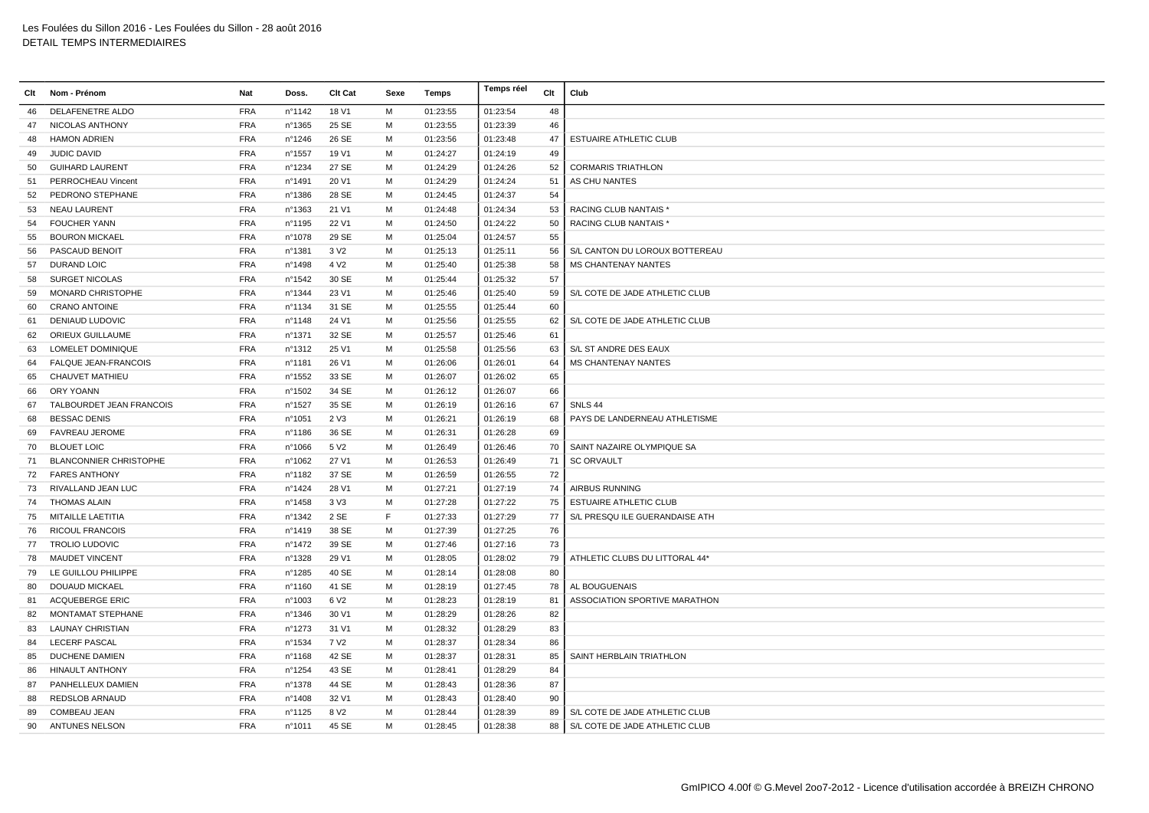|    | Clt Nom - Prénom              | Nat        | Doss.  | Clt Cat          | Sexe | Temps    | Temps réel | Clt | Club                           |
|----|-------------------------------|------------|--------|------------------|------|----------|------------|-----|--------------------------------|
| 46 | DELAFENETRE ALDO              | <b>FRA</b> | nº1142 | 18 V1            | M    | 01:23:55 | 01:23:54   | 48  |                                |
| 47 | NICOLAS ANTHONY               | <b>FRA</b> | n°1365 | 25 SE            | М    | 01:23:55 | 01:23:39   | 46  |                                |
| 48 | <b>HAMON ADRIEN</b>           | <b>FRA</b> | n°1246 | 26 SE            | M    | 01:23:56 | 01:23:48   | 47  | <b>ESTUAIRE ATHLETIC CLUB</b>  |
| 49 | <b>JUDIC DAVID</b>            | <b>FRA</b> | nº1557 | 19 V1            | м    | 01:24:27 | 01:24:19   | 49  |                                |
| 50 | <b>GUIHARD LAURENT</b>        | <b>FRA</b> | n°1234 | 27 SE            | м    | 01:24:29 | 01:24:26   | 52  | <b>CORMARIS TRIATHLON</b>      |
| 51 | PERROCHEAU Vincent            | <b>FRA</b> | n°1491 | 20 V1            | M    | 01:24:29 | 01:24:24   | 51  | AS CHU NANTES                  |
| 52 | PEDRONO STEPHANE              | <b>FRA</b> | n°1386 | 28 SE            | M    | 01:24:45 | 01:24:37   | 54  |                                |
| 53 | <b>NEAU LAURENT</b>           | <b>FRA</b> | n°1363 | 21 V1            | M    | 01:24:48 | 01:24:34   | 53  | <b>RACING CLUB NANTAIS*</b>    |
| 54 | <b>FOUCHER YANN</b>           | <b>FRA</b> | n°1195 | 22 V1            | M    | 01:24:50 | 01:24:22   | 50  | <b>RACING CLUB NANTAIS*</b>    |
| 55 | <b>BOURON MICKAEL</b>         | <b>FRA</b> | n°1078 | 29 SE            | м    | 01:25:04 | 01:24:57   | 55  |                                |
| 56 | PASCAUD BENOIT                | <b>FRA</b> | n°1381 | 3 V <sub>2</sub> | M    | 01:25:13 | 01:25:11   | 56  | S/L CANTON DU LOROUX BOTTEREAU |
| 57 | <b>DURAND LOIC</b>            | <b>FRA</b> | n°1498 | 4 V <sub>2</sub> | M    | 01:25:40 | 01:25:38   | 58  | MS CHANTENAY NANTES            |
| 58 | <b>SURGET NICOLAS</b>         | <b>FRA</b> | n°1542 | 30 SE            | м    | 01:25:44 | 01:25:32   | 57  |                                |
| 59 | <b>MONARD CHRISTOPHE</b>      | <b>FRA</b> | n°1344 | 23 V1            | M    | 01:25:46 | 01:25:40   | 59  | S/L COTE DE JADE ATHLETIC CLUB |
| 60 | <b>CRANO ANTOINE</b>          | <b>FRA</b> | nº1134 | 31 SE            | M    | 01:25:55 | 01:25:44   | 60  |                                |
| 61 | DENIAUD LUDOVIC               | <b>FRA</b> | nº1148 | 24 V1            | M    | 01:25:56 | 01:25:55   | 62  | S/L COTE DE JADE ATHLETIC CLUB |
| 62 | ORIEUX GUILLAUME              | <b>FRA</b> | n°1371 | 32 SE            | M    | 01:25:57 | 01:25:46   | 61  |                                |
| 63 | <b>LOMELET DOMINIQUE</b>      | <b>FRA</b> | nº1312 | 25 V1            | M    | 01:25:58 | 01:25:56   | 63  | S/L ST ANDRE DES EAUX          |
| 64 | <b>FALQUE JEAN-FRANCOIS</b>   | <b>FRA</b> | n°1181 | 26 V1            | м    | 01:26:06 | 01:26:01   | 64  | <b>MS CHANTENAY NANTES</b>     |
| 65 | <b>CHAUVET MATHIEU</b>        | <b>FRA</b> | n°1552 | 33 SE            | м    | 01:26:07 | 01:26:02   | 65  |                                |
| 66 | ORY YOANN                     | <b>FRA</b> | n°1502 | 34 SE            | м    | 01:26:12 | 01:26:07   | 66  |                                |
| 67 | TALBOURDET JEAN FRANCOIS      | <b>FRA</b> | n°1527 | 35 SE            | M    | 01:26:19 | 01:26:16   | 67  | SNLS <sub>44</sub>             |
| 68 | <b>BESSAC DENIS</b>           | <b>FRA</b> | n°1051 | 2 V3             | M    | 01:26:21 | 01:26:19   | 68  | PAYS DE LANDERNEAU ATHLETISME  |
| 69 | <b>FAVREAU JEROME</b>         | <b>FRA</b> | nº1186 | 36 SE            | M    | 01:26:31 | 01:26:28   | 69  |                                |
| 70 | <b>BLOUET LOIC</b>            | <b>FRA</b> | n°1066 | 5 V <sub>2</sub> | M    | 01:26:49 | 01:26:46   | 70  | SAINT NAZAIRE OLYMPIQUE SA     |
| 71 | <b>BLANCONNIER CHRISTOPHE</b> | <b>FRA</b> | n°1062 | 27 V1            | м    | 01:26:53 | 01:26:49   | 71  | <b>SC ORVAULT</b>              |
| 72 | <b>FARES ANTHONY</b>          | <b>FRA</b> | n°1182 | 37 SE            | м    | 01:26:59 | 01:26:55   | 72  |                                |
| 73 | RIVALLAND JEAN LUC            | <b>FRA</b> | n°1424 | 28 V1            | M    | 01:27:21 | 01:27:19   | 74  | <b>AIRBUS RUNNING</b>          |
| 74 | <b>THOMAS ALAIN</b>           | <b>FRA</b> | n°1458 | 3 <sub>V</sub> 3 | M    | 01:27:28 | 01:27:22   | 75  | <b>ESTUAIRE ATHLETIC CLUB</b>  |
| 75 | MITAILLE LAETITIA             | <b>FRA</b> | nº1342 | 2 SE             | F    | 01:27:33 | 01:27:29   | 77  | S/L PRESQU ILE GUERANDAISE ATH |
| 76 | <b>RICOUL FRANCOIS</b>        | <b>FRA</b> | n°1419 | 38 SE            | M    | 01:27:39 | 01:27:25   | 76  |                                |
| 77 | <b>TROLIO LUDOVIC</b>         | <b>FRA</b> | n°1472 | 39 SE            | м    | 01:27:46 | 01:27:16   | 73  |                                |
| 78 | <b>MAUDET VINCENT</b>         | <b>FRA</b> | n°1328 | 29 V1            | м    | 01:28:05 | 01:28:02   | 79  | ATHLETIC CLUBS DU LITTORAL 44* |
| 79 | LE GUILLOU PHILIPPE           | <b>FRA</b> | n°1285 | 40 SE            | M    | 01:28:14 | 01:28:08   | 80  |                                |
| 80 | DOUAUD MICKAEL                | <b>FRA</b> | n°1160 | 41 SE            | м    | 01:28:19 | 01:27:45   | 78  | AL BOUGUENAIS                  |
| 81 | ACQUEBERGE ERIC               | <b>FRA</b> | n°1003 | 6 V <sub>2</sub> | M    | 01:28:23 | 01:28:19   | 81  | ASSOCIATION SPORTIVE MARATHON  |
| 82 | <b>MONTAMAT STEPHANE</b>      | <b>FRA</b> | nº1346 | 30 V1            | M    | 01:28:29 | 01:28:26   | 82  |                                |
| 83 | <b>LAUNAY CHRISTIAN</b>       | <b>FRA</b> | n°1273 | 31 V1            | M    | 01:28:32 | 01:28:29   | 83  |                                |
| 84 | <b>LECERF PASCAL</b>          | <b>FRA</b> | nº1534 | 7 V <sub>2</sub> | M    | 01:28:37 | 01:28:34   | 86  |                                |
| 85 | <b>DUCHENE DAMIEN</b>         | <b>FRA</b> | n°1168 | 42 SE            | M    | 01:28:37 | 01:28:31   | 85  | SAINT HERBLAIN TRIATHLON       |
| 86 | <b>HINAULT ANTHONY</b>        | <b>FRA</b> | n°1254 | 43 SE            | м    | 01:28:41 | 01:28:29   | 84  |                                |
| 87 | PANHELLEUX DAMIEN             | <b>FRA</b> | n°1378 | 44 SE            | м    | 01:28:43 | 01:28:36   | 87  |                                |
| 88 | REDSLOB ARNAUD                | <b>FRA</b> | n°1408 | 32 V1            | м    | 01:28:43 | 01:28:40   | 90  |                                |
| 89 | <b>COMBEAU JEAN</b>           | <b>FRA</b> | n°1125 | 8 V <sub>2</sub> | M    | 01:28:44 | 01:28:39   | 89  | S/L COTE DE JADE ATHLETIC CLUB |
| 90 | <b>ANTUNES NELSON</b>         | <b>FRA</b> | n°1011 | 45 SE            | M    | 01:28:45 | 01:28:38   | 88  | S/L COTE DE JADE ATHLETIC CLUB |
|    |                               |            |        |                  |      |          |            |     |                                |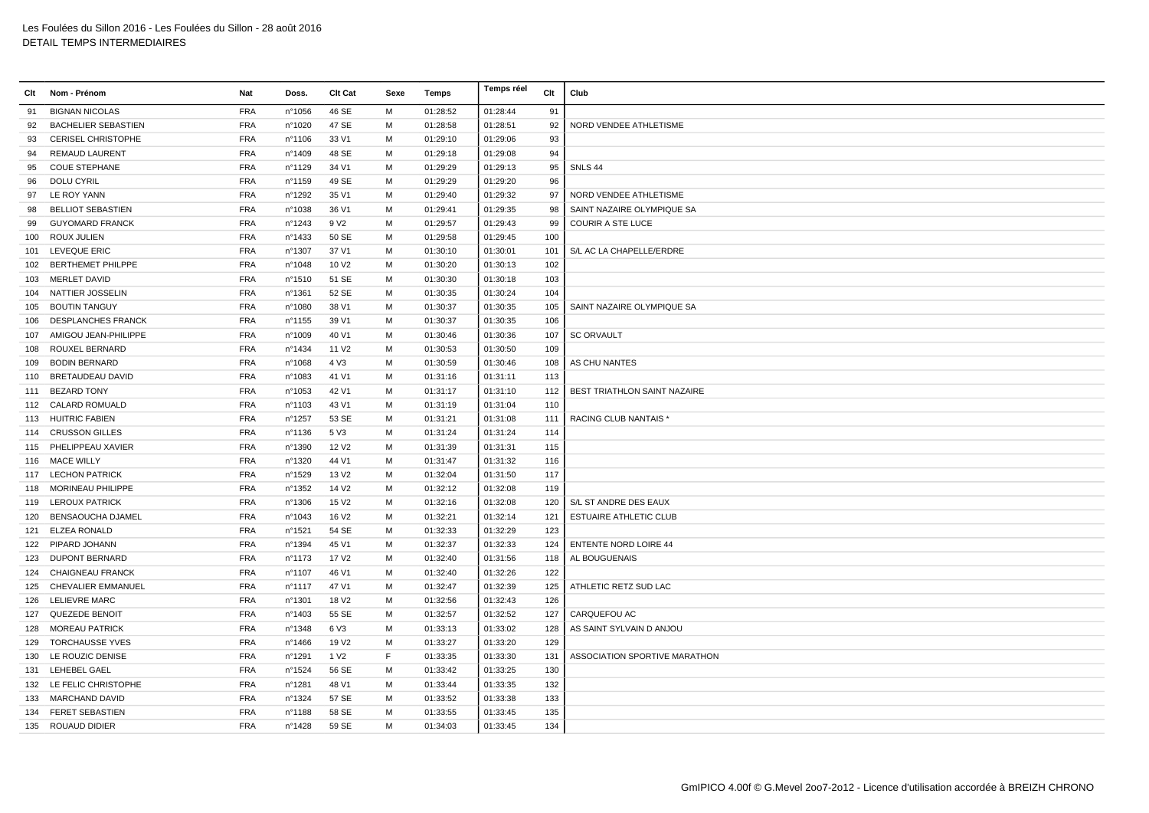| Clt | Nom - Prénom               | Nat        | Doss.  | <b>Clt Cat</b>    | Sexe | Temps    | Temps réel | Clt | Club                          |
|-----|----------------------------|------------|--------|-------------------|------|----------|------------|-----|-------------------------------|
| 91  | <b>BIGNAN NICOLAS</b>      | <b>FRA</b> | n°1056 | 46 SE             | M    | 01:28:52 | 01:28:44   | 91  |                               |
| 92  | <b>BACHELIER SEBASTIEN</b> | <b>FRA</b> | n°1020 | 47 SE             | M    | 01:28:58 | 01:28:51   | 92  | NORD VENDEE ATHLETISME        |
| 93  | <b>CERISEL CHRISTOPHE</b>  | <b>FRA</b> | n°1106 | 33 V1             | M    | 01:29:10 | 01:29:06   | 93  |                               |
| 94  | <b>REMAUD LAURENT</b>      | <b>FRA</b> | n°1409 | 48 SE             | M    | 01:29:18 | 01:29:08   | 94  |                               |
| 95  | <b>COUE STEPHANE</b>       | <b>FRA</b> | n°1129 | 34 V1             | M    | 01:29:29 | 01:29:13   | 95  | SNLS 44                       |
| 96  | <b>DOLU CYRIL</b>          | <b>FRA</b> | n°1159 | 49 SE             | M    | 01:29:29 | 01:29:20   | 96  |                               |
| 97  | LE ROY YANN                | <b>FRA</b> | n°1292 | 35 V1             | M    | 01:29:40 | 01:29:32   | 97  | NORD VENDEE ATHLETISME        |
| 98  | <b>BELLIOT SEBASTIEN</b>   | <b>FRA</b> | n°1038 | 36 V1             | M    | 01:29:41 | 01:29:35   | 98  | SAINT NAZAIRE OLYMPIQUE SA    |
| 99  | <b>GUYOMARD FRANCK</b>     | <b>FRA</b> | n°1243 | 9 V <sub>2</sub>  | M    | 01:29:57 | 01:29:43   | 99  | <b>COURIR A STE LUCE</b>      |
| 100 | <b>ROUX JULIEN</b>         | <b>FRA</b> | n°1433 | 50 SE             | M    | 01:29:58 | 01:29:45   | 100 |                               |
|     | 101 LEVEQUE ERIC           | <b>FRA</b> | n°1307 | 37 V1             | M    | 01:30:10 | 01:30:01   | 101 | S/L AC LA CHAPELLE/ERDRE      |
|     | 102 BERTHEMET PHILPPE      | <b>FRA</b> | n°1048 | 10 V <sub>2</sub> | M    | 01:30:20 | 01:30:13   | 102 |                               |
|     | 103 MERLET DAVID           | <b>FRA</b> | n°1510 | 51 SE             | M    | 01:30:30 | 01:30:18   | 103 |                               |
|     | 104 NATTIER JOSSELIN       | <b>FRA</b> | n°1361 | 52 SE             | M    | 01:30:35 | 01:30:24   | 104 |                               |
| 105 | <b>BOUTIN TANGUY</b>       | <b>FRA</b> | n°1080 | 38 V1             | M    | 01:30:37 | 01:30:35   | 105 | SAINT NAZAIRE OLYMPIQUE SA    |
|     | 106 DESPLANCHES FRANCK     | <b>FRA</b> | n°1155 | 39 V1             | M    | 01:30:37 | 01:30:35   | 106 |                               |
| 107 | AMIGOU JEAN-PHILIPPE       | <b>FRA</b> | n°1009 | 40 V1             | M    | 01:30:46 | 01:30:36   | 107 | <b>SC ORVAULT</b>             |
| 108 | ROUXEL BERNARD             | <b>FRA</b> | nº1434 | 11 V <sub>2</sub> | M    | 01:30:53 | 01:30:50   | 109 |                               |
| 109 | <b>BODIN BERNARD</b>       | <b>FRA</b> | n°1068 | 4 V3              | M    | 01:30:59 | 01:30:46   | 108 | AS CHU NANTES                 |
|     | 110 BRETAUDEAU DAVID       | <b>FRA</b> | n°1083 | 41 V1             | M    | 01:31:16 | 01:31:11   | 113 |                               |
|     | 111 BEZARD TONY            | <b>FRA</b> | n°1053 | 42 V1             | M    | 01:31:17 | 01:31:10   | 112 | BEST TRIATHLON SAINT NAZAIRE  |
|     | 112 CALARD ROMUALD         | <b>FRA</b> | n°1103 | 43 V1             | M    | 01:31:19 | 01:31:04   | 110 |                               |
|     | 113 HUITRIC FABIEN         | <b>FRA</b> | n°1257 | 53 SE             | M    | 01:31:21 | 01:31:08   | 111 | RACING CLUB NANTAIS *         |
|     | 114 CRUSSON GILLES         | <b>FRA</b> | nº1136 | 5 V3              | M    | 01:31:24 | 01:31:24   | 114 |                               |
|     | 115 PHELIPPEAU XAVIER      | <b>FRA</b> | n°1390 | 12 V <sub>2</sub> | M    | 01:31:39 | 01:31:31   | 115 |                               |
|     | 116 MACE WILLY             | <b>FRA</b> | n°1320 | 44 V1             | M    | 01:31:47 | 01:31:32   | 116 |                               |
|     | 117 LECHON PATRICK         | <b>FRA</b> | n°1529 | 13 V <sub>2</sub> | M    | 01:32:04 | 01:31:50   | 117 |                               |
|     | 118 MORINEAU PHILIPPE      | <b>FRA</b> | n°1352 | 14 V <sub>2</sub> | M    | 01:32:12 | 01:32:08   | 119 |                               |
|     | 119 LEROUX PATRICK         | <b>FRA</b> | n°1306 | 15 V <sub>2</sub> | M    | 01:32:16 | 01:32:08   | 120 | S/L ST ANDRE DES EAUX         |
| 120 | <b>BENSAOUCHA DJAMEL</b>   | <b>FRA</b> | n°1043 | 16 V <sub>2</sub> | M    | 01:32:21 | 01:32:14   | 121 | <b>ESTUAIRE ATHLETIC CLUB</b> |
| 121 | ELZEA RONALD               | <b>FRA</b> | n°1521 | 54 SE             | M    | 01:32:33 | 01:32:29   | 123 |                               |
|     | 122 PIPARD JOHANN          | <b>FRA</b> | n°1394 | 45 V1             | M    | 01:32:37 | 01:32:33   | 124 | <b>ENTENTE NORD LOIRE 44</b>  |
|     | 123 DUPONT BERNARD         | <b>FRA</b> | nº1173 | 17 V <sub>2</sub> | M    | 01:32:40 | 01:31:56   | 118 | AL BOUGUENAIS                 |
| 124 | <b>CHAIGNEAU FRANCK</b>    | <b>FRA</b> | n°1107 | 46 V1             | M    | 01:32:40 | 01:32:26   | 122 |                               |
|     | 125 CHEVALIER EMMANUEL     | <b>FRA</b> | n°1117 | 47 V1             | M    | 01:32:47 | 01:32:39   | 125 | ATHLETIC RETZ SUD LAC         |
|     | 126 LELIEVRE MARC          | <b>FRA</b> | n°1301 | 18 V <sub>2</sub> | M    | 01:32:56 | 01:32:43   | 126 |                               |
|     | 127 QUEZEDE BENOIT         | <b>FRA</b> | n°1403 | 55 SE             | M    | 01:32:57 | 01:32:52   | 127 | CARQUEFOU AC                  |
|     | 128 MOREAU PATRICK         | <b>FRA</b> | n°1348 | 6 V3              | M    | 01:33:13 | 01:33:02   | 128 | AS SAINT SYLVAIN D ANJOU      |
| 129 | <b>TORCHAUSSE YVES</b>     | <b>FRA</b> | n°1466 | 19 V <sub>2</sub> | M    | 01:33:27 | 01:33:20   | 129 |                               |
|     | 130 LE ROUZIC DENISE       | <b>FRA</b> | n°1291 | 1 V <sub>2</sub>  | F    | 01:33:35 | 01:33:30   | 131 | ASSOCIATION SPORTIVE MARATHON |
| 131 | <b>LEHEBEL GAEL</b>        | <b>FRA</b> | n°1524 | 56 SE             | M    | 01:33:42 | 01:33:25   | 130 |                               |
|     | 132 LE FELIC CHRISTOPHE    | <b>FRA</b> | n°1281 | 48 V1             | M    | 01:33:44 | 01:33:35   | 132 |                               |
|     | 133 MARCHAND DAVID         | <b>FRA</b> | n°1324 | 57 SE             | M    | 01:33:52 | 01:33:38   | 133 |                               |
|     | 134 FERET SEBASTIEN        | <b>FRA</b> | n°1188 | 58 SE             | м    | 01:33:55 | 01:33:45   | 135 |                               |
|     | 135 ROUAUD DIDIER          | <b>FRA</b> | n°1428 | 59 SE             | M    | 01:34:03 | 01:33:45   | 134 |                               |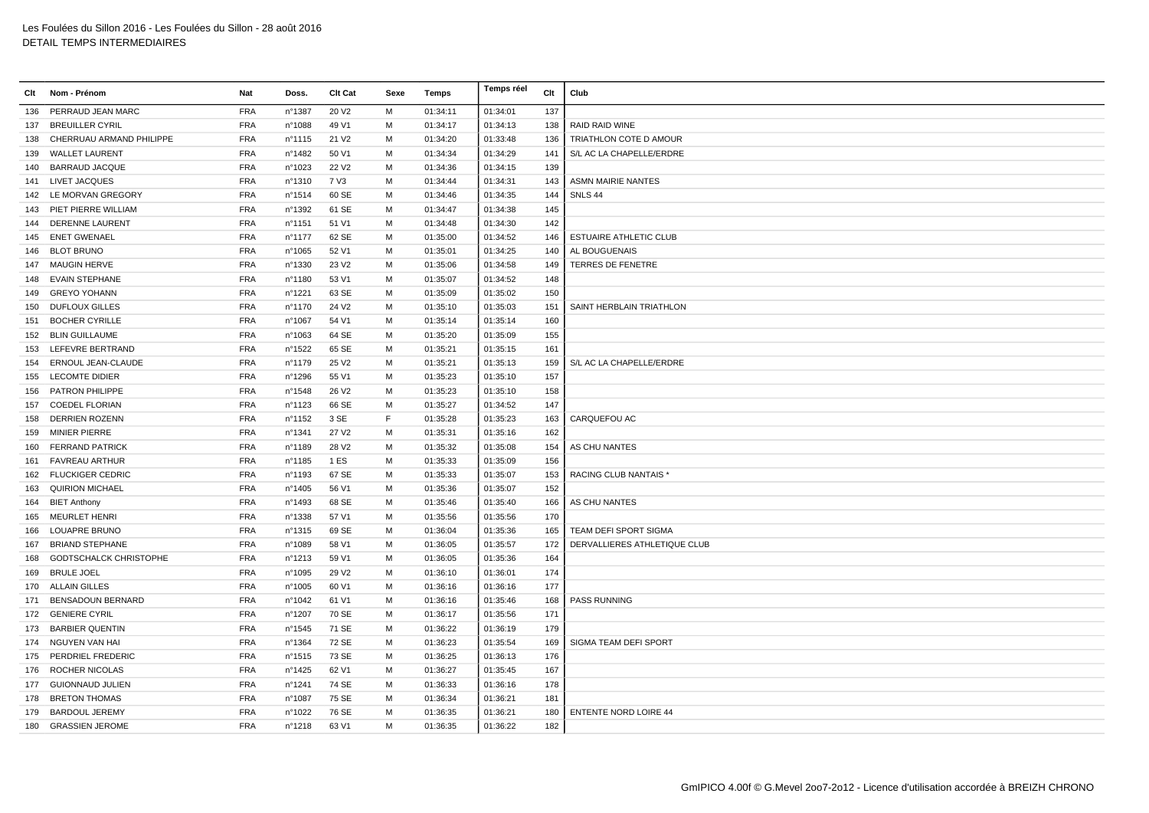| PERRAUD JEAN MARC<br><b>FRA</b><br>nº1387<br>20 V <sub>2</sub><br>М<br>01:34:11<br>01:34:01<br>137<br>136<br><b>FRA</b><br>49 V1<br>М<br><b>BREUILLER CYRIL</b><br>n°1088<br>01:34:17<br>01:34:13<br>138<br>RAID RAID WINE<br>137<br><b>FRA</b><br>CHERRUAU ARMAND PHILIPPE<br>$n^{\circ}$ 1115<br>21 V <sub>2</sub><br>M<br>01:34:20<br>01:33:48<br>136<br>TRIATHLON COTE D AMOUR<br>138<br><b>WALLET LAURENT</b><br><b>FRA</b><br>n°1482<br>50 V1<br>M<br>01:34:34<br>01:34:29<br>141<br>S/L AC LA CHAPELLE/ERDRE<br>139<br>139<br><b>FRA</b><br>22 V <sub>2</sub><br>M<br>01:34:15<br>140<br><b>BARRAUD JACQUE</b><br>n°1023<br>01:34:36<br><b>FRA</b><br>7 V3<br>M<br>01:34:31<br><b>ASMN MAIRIE NANTES</b><br>141 LIVET JACQUES<br>n°1310<br>01:34:44<br>143<br>142 LE MORVAN GREGORY<br><b>FRA</b><br>nº1514<br>60 SE<br>M<br>01:34:35<br>144<br>SNLS 44<br>01:34:46<br><b>FRA</b><br>61 SE<br>M<br>145<br>PIET PIERRE WILLIAM<br>n°1392<br>01:34:47<br>01:34:38<br>143<br><b>FRA</b><br>51 V1<br>142<br><b>DERENNE LAURENT</b><br>n°1151<br>М<br>01:34:48<br>01:34:30<br>144<br><b>FRA</b><br>62 SE<br><b>ENET GWENAEL</b><br>n°1177<br>M<br>01:35:00<br>01:34:52<br><b>ESTUAIRE ATHLETIC CLUB</b><br>146<br>145<br>146 BLOT BRUNO<br><b>FRA</b><br>52 V1<br>M<br>01:35:01<br>01:34:25<br>140<br>AL BOUGUENAIS<br>n°1065<br><b>FRA</b><br>nº1330<br>23 V <sub>2</sub><br>М<br>01:35:06<br>01:34:58<br>149<br>TERRES DE FENETRE<br>147 MAUGIN HERVE<br><b>EVAIN STEPHANE</b><br><b>FRA</b><br>M<br>01:34:52<br>148<br>nº1180<br>53 V1<br>01:35:07<br>148<br><b>FRA</b><br>63 SE<br>M<br>01:35:02<br>150<br>149 GREYO YOHANN<br>n°1221<br>01:35:09<br><b>FRA</b><br>24 V <sub>2</sub><br>M<br>01:35:10<br>01:35:03<br>151<br><b>DUFLOUX GILLES</b><br>nº1170<br>SAINT HERBLAIN TRIATHLON<br>150<br><b>BOCHER CYRILLE</b><br><b>FRA</b><br>54 V1<br>М<br>01:35:14<br>160<br>151<br>n°1067<br>01:35:14<br>155<br><b>BLIN GUILLAUME</b><br><b>FRA</b><br>n°1063<br>64 SE<br>M<br>01:35:20<br>01:35:09<br>152<br><b>FRA</b><br>$n^{\circ}$ 1522<br>65 SE<br>M<br>01:35:21<br>01:35:15<br>161<br>LEFEVRE BERTRAND<br>153<br><b>FRA</b><br>n°1179<br>25 V <sub>2</sub><br>M<br>01:35:21<br>01:35:13<br>159<br>S/L AC LA CHAPELLE/ERDRE<br>ERNOUL JEAN-CLAUDE<br>154<br><b>LECOMTE DIDIER</b><br><b>FRA</b><br>55 V1<br>M<br>01:35:23<br>01:35:10<br>157<br>nº1296<br>155<br><b>FRA</b><br>PATRON PHILIPPE<br>nº1548<br>26 V <sub>2</sub><br>М<br>01:35:23<br>01:35:10<br>158<br>156<br><b>FRA</b><br>66 SE<br>M<br><b>COEDEL FLORIAN</b><br>nº1123<br>01:35:27<br>01:34:52<br>147<br>157<br><b>FRA</b><br>F<br><b>DERRIEN ROZENN</b><br>$n^{\circ}$ 1152<br>3 SE<br>01:35:28<br>01:35:23<br>163<br>CARQUEFOU AC<br>158<br><b>FRA</b><br><b>MINIER PIERRE</b><br>n°1341<br>27 V <sub>2</sub><br>M<br>01:35:31<br>01:35:16<br>162<br>159<br><b>FRA</b><br><b>FERRAND PATRICK</b><br>n°1189<br>28 V <sub>2</sub><br>M<br>01:35:32<br>01:35:08<br>154<br>AS CHU NANTES<br>160<br><b>FRA</b><br>1 ES<br>M<br>01:35:09<br>156<br><b>FAVREAU ARTHUR</b><br>nº1185<br>01:35:33<br>161<br><b>FRA</b><br>67 SE<br>M<br>162 FLUCKIGER CEDRIC<br>n°1193<br>01:35:33<br>01:35:07<br>153<br><b>RACING CLUB NANTAIS*</b><br><b>FRA</b><br>M<br>01:35:07<br>163<br><b>QUIRION MICHAEL</b><br>n°1405<br>56 V1<br>01:35:36<br>152<br><b>FRA</b><br>68 SE<br>01:35:46<br>01:35:40<br>n°1493<br>M<br>166<br>AS CHU NANTES<br><b>BIET Anthony</b><br>164<br><b>FRA</b><br>M<br><b>MEURLET HENRI</b><br>nº1338<br>57 V1<br>01:35:56<br>01:35:56<br>170<br>165<br>LOUAPRE BRUNO<br><b>FRA</b><br>$n^{\circ}$ 1315<br>69 SE<br>M<br>01:36:04<br>01:35:36<br>165<br>TEAM DEFI SPORT SIGMA<br>166<br>172<br><b>FRA</b><br>58 V1<br>M<br>01:36:05<br>01:35:57<br>DERVALLIERES ATHLETIQUE CLUB<br><b>BRIAND STEPHANE</b><br>n°1089<br>167<br><b>FRA</b><br>M<br><b>GODTSCHALCK CHRISTOPHE</b><br>nº1213<br>59 V1<br>01:36:05<br>01:35:36<br>164<br>168<br><b>FRA</b><br>n°1095<br>29 V <sub>2</sub><br>M<br>01:36:10<br>01:36:01<br>174<br><b>BRULE JOEL</b><br>169<br><b>ALLAIN GILLES</b><br><b>FRA</b><br>177<br>60 V1<br>M<br>01:36:16<br>01:36:16<br>170<br>n°1005<br><b>FRA</b><br><b>BENSADOUN BERNARD</b><br>n°1042<br>61 V1<br>М<br>01:36:16<br>01:35:46<br>168<br><b>PASS RUNNING</b><br>171<br><b>FRA</b><br>70 SE<br>01:35:56<br>171<br><b>GENIERE CYRIL</b><br>n°1207<br>M<br>01:36:17<br>172<br><b>FRA</b><br>71 SE<br>M<br>173<br><b>BARBIER QUENTIN</b><br>$n^{\circ}$ 1545<br>01:36:22<br>01:36:19<br>179<br><b>FRA</b><br>72 SE<br>M<br>01:35:54<br>174 NGUYEN VAN HAI<br>n°1364<br>01:36:23<br>169<br>SIGMA TEAM DEFI SPORT<br>PERDRIEL FREDERIC<br><b>FRA</b><br>73 SE<br>M<br>01:36:13<br>n°1515<br>01:36:25<br>176<br>175<br>167<br>ROCHER NICOLAS<br><b>FRA</b><br>n°1425<br>62 V1<br>M<br>01:36:27<br>01:35:45<br>176<br><b>FRA</b><br>178<br>177 GUIONNAUD JULIEN<br>n°1241<br>74 SE<br>М<br>01:36:33<br>01:36:16<br><b>FRA</b><br>75 SE<br>M<br>01:36:34<br>01:36:21<br>178<br><b>BRETON THOMAS</b><br>n°1087<br>181<br><b>FRA</b><br>76 SE<br>м<br>01:36:35<br>01:36:21<br>180<br><b>ENTENTE NORD LOIRE 44</b><br>179<br><b>BARDOUL JEREMY</b><br>n°1022<br><b>FRA</b><br>180 GRASSIEN JEROME<br>n°1218<br>63 V1<br>M<br>01:36:35<br>01:36:22<br>182 | Clt | Nom - Prénom | Nat | Doss. | <b>Clt Cat</b> | Sexe | Temps | Temps réel | Clt | Club |
|----------------------------------------------------------------------------------------------------------------------------------------------------------------------------------------------------------------------------------------------------------------------------------------------------------------------------------------------------------------------------------------------------------------------------------------------------------------------------------------------------------------------------------------------------------------------------------------------------------------------------------------------------------------------------------------------------------------------------------------------------------------------------------------------------------------------------------------------------------------------------------------------------------------------------------------------------------------------------------------------------------------------------------------------------------------------------------------------------------------------------------------------------------------------------------------------------------------------------------------------------------------------------------------------------------------------------------------------------------------------------------------------------------------------------------------------------------------------------------------------------------------------------------------------------------------------------------------------------------------------------------------------------------------------------------------------------------------------------------------------------------------------------------------------------------------------------------------------------------------------------------------------------------------------------------------------------------------------------------------------------------------------------------------------------------------------------------------------------------------------------------------------------------------------------------------------------------------------------------------------------------------------------------------------------------------------------------------------------------------------------------------------------------------------------------------------------------------------------------------------------------------------------------------------------------------------------------------------------------------------------------------------------------------------------------------------------------------------------------------------------------------------------------------------------------------------------------------------------------------------------------------------------------------------------------------------------------------------------------------------------------------------------------------------------------------------------------------------------------------------------------------------------------------------------------------------------------------------------------------------------------------------------------------------------------------------------------------------------------------------------------------------------------------------------------------------------------------------------------------------------------------------------------------------------------------------------------------------------------------------------------------------------------------------------------------------------------------------------------------------------------------------------------------------------------------------------------------------------------------------------------------------------------------------------------------------------------------------------------------------------------------------------------------------------------------------------------------------------------------------------------------------------------------------------------------------------------------------------------------------------------------------------------------------------------------------------------------------------------------------------------------------------------------------------------------------------------------------------------------------------------------------------------------------------------------------------------------------------------------------------------------------------------------------------------------------------------------------------------------------------------------------------------------------------------------------------------------------------------------------------------------------------------------------------------------------------------------------------------------------------------------------------------------------------------------------------------------------------------------------------------------------------------------------------------------------------------------------------------------------------|-----|--------------|-----|-------|----------------|------|-------|------------|-----|------|
|                                                                                                                                                                                                                                                                                                                                                                                                                                                                                                                                                                                                                                                                                                                                                                                                                                                                                                                                                                                                                                                                                                                                                                                                                                                                                                                                                                                                                                                                                                                                                                                                                                                                                                                                                                                                                                                                                                                                                                                                                                                                                                                                                                                                                                                                                                                                                                                                                                                                                                                                                                                                                                                                                                                                                                                                                                                                                                                                                                                                                                                                                                                                                                                                                                                                                                                                                                                                                                                                                                                                                                                                                                                                                                                                                                                                                                                                                                                                                                                                                                                                                                                                                                                                                                                                                                                                                                                                                                                                                                                                                                                                                                                                                                                                                                                                                                                                                                                                                                                                                                                                                                                                                                                                                                                    |     |              |     |       |                |      |       |            |     |      |
|                                                                                                                                                                                                                                                                                                                                                                                                                                                                                                                                                                                                                                                                                                                                                                                                                                                                                                                                                                                                                                                                                                                                                                                                                                                                                                                                                                                                                                                                                                                                                                                                                                                                                                                                                                                                                                                                                                                                                                                                                                                                                                                                                                                                                                                                                                                                                                                                                                                                                                                                                                                                                                                                                                                                                                                                                                                                                                                                                                                                                                                                                                                                                                                                                                                                                                                                                                                                                                                                                                                                                                                                                                                                                                                                                                                                                                                                                                                                                                                                                                                                                                                                                                                                                                                                                                                                                                                                                                                                                                                                                                                                                                                                                                                                                                                                                                                                                                                                                                                                                                                                                                                                                                                                                                                    |     |              |     |       |                |      |       |            |     |      |
|                                                                                                                                                                                                                                                                                                                                                                                                                                                                                                                                                                                                                                                                                                                                                                                                                                                                                                                                                                                                                                                                                                                                                                                                                                                                                                                                                                                                                                                                                                                                                                                                                                                                                                                                                                                                                                                                                                                                                                                                                                                                                                                                                                                                                                                                                                                                                                                                                                                                                                                                                                                                                                                                                                                                                                                                                                                                                                                                                                                                                                                                                                                                                                                                                                                                                                                                                                                                                                                                                                                                                                                                                                                                                                                                                                                                                                                                                                                                                                                                                                                                                                                                                                                                                                                                                                                                                                                                                                                                                                                                                                                                                                                                                                                                                                                                                                                                                                                                                                                                                                                                                                                                                                                                                                                    |     |              |     |       |                |      |       |            |     |      |
|                                                                                                                                                                                                                                                                                                                                                                                                                                                                                                                                                                                                                                                                                                                                                                                                                                                                                                                                                                                                                                                                                                                                                                                                                                                                                                                                                                                                                                                                                                                                                                                                                                                                                                                                                                                                                                                                                                                                                                                                                                                                                                                                                                                                                                                                                                                                                                                                                                                                                                                                                                                                                                                                                                                                                                                                                                                                                                                                                                                                                                                                                                                                                                                                                                                                                                                                                                                                                                                                                                                                                                                                                                                                                                                                                                                                                                                                                                                                                                                                                                                                                                                                                                                                                                                                                                                                                                                                                                                                                                                                                                                                                                                                                                                                                                                                                                                                                                                                                                                                                                                                                                                                                                                                                                                    |     |              |     |       |                |      |       |            |     |      |
|                                                                                                                                                                                                                                                                                                                                                                                                                                                                                                                                                                                                                                                                                                                                                                                                                                                                                                                                                                                                                                                                                                                                                                                                                                                                                                                                                                                                                                                                                                                                                                                                                                                                                                                                                                                                                                                                                                                                                                                                                                                                                                                                                                                                                                                                                                                                                                                                                                                                                                                                                                                                                                                                                                                                                                                                                                                                                                                                                                                                                                                                                                                                                                                                                                                                                                                                                                                                                                                                                                                                                                                                                                                                                                                                                                                                                                                                                                                                                                                                                                                                                                                                                                                                                                                                                                                                                                                                                                                                                                                                                                                                                                                                                                                                                                                                                                                                                                                                                                                                                                                                                                                                                                                                                                                    |     |              |     |       |                |      |       |            |     |      |
|                                                                                                                                                                                                                                                                                                                                                                                                                                                                                                                                                                                                                                                                                                                                                                                                                                                                                                                                                                                                                                                                                                                                                                                                                                                                                                                                                                                                                                                                                                                                                                                                                                                                                                                                                                                                                                                                                                                                                                                                                                                                                                                                                                                                                                                                                                                                                                                                                                                                                                                                                                                                                                                                                                                                                                                                                                                                                                                                                                                                                                                                                                                                                                                                                                                                                                                                                                                                                                                                                                                                                                                                                                                                                                                                                                                                                                                                                                                                                                                                                                                                                                                                                                                                                                                                                                                                                                                                                                                                                                                                                                                                                                                                                                                                                                                                                                                                                                                                                                                                                                                                                                                                                                                                                                                    |     |              |     |       |                |      |       |            |     |      |
|                                                                                                                                                                                                                                                                                                                                                                                                                                                                                                                                                                                                                                                                                                                                                                                                                                                                                                                                                                                                                                                                                                                                                                                                                                                                                                                                                                                                                                                                                                                                                                                                                                                                                                                                                                                                                                                                                                                                                                                                                                                                                                                                                                                                                                                                                                                                                                                                                                                                                                                                                                                                                                                                                                                                                                                                                                                                                                                                                                                                                                                                                                                                                                                                                                                                                                                                                                                                                                                                                                                                                                                                                                                                                                                                                                                                                                                                                                                                                                                                                                                                                                                                                                                                                                                                                                                                                                                                                                                                                                                                                                                                                                                                                                                                                                                                                                                                                                                                                                                                                                                                                                                                                                                                                                                    |     |              |     |       |                |      |       |            |     |      |
|                                                                                                                                                                                                                                                                                                                                                                                                                                                                                                                                                                                                                                                                                                                                                                                                                                                                                                                                                                                                                                                                                                                                                                                                                                                                                                                                                                                                                                                                                                                                                                                                                                                                                                                                                                                                                                                                                                                                                                                                                                                                                                                                                                                                                                                                                                                                                                                                                                                                                                                                                                                                                                                                                                                                                                                                                                                                                                                                                                                                                                                                                                                                                                                                                                                                                                                                                                                                                                                                                                                                                                                                                                                                                                                                                                                                                                                                                                                                                                                                                                                                                                                                                                                                                                                                                                                                                                                                                                                                                                                                                                                                                                                                                                                                                                                                                                                                                                                                                                                                                                                                                                                                                                                                                                                    |     |              |     |       |                |      |       |            |     |      |
|                                                                                                                                                                                                                                                                                                                                                                                                                                                                                                                                                                                                                                                                                                                                                                                                                                                                                                                                                                                                                                                                                                                                                                                                                                                                                                                                                                                                                                                                                                                                                                                                                                                                                                                                                                                                                                                                                                                                                                                                                                                                                                                                                                                                                                                                                                                                                                                                                                                                                                                                                                                                                                                                                                                                                                                                                                                                                                                                                                                                                                                                                                                                                                                                                                                                                                                                                                                                                                                                                                                                                                                                                                                                                                                                                                                                                                                                                                                                                                                                                                                                                                                                                                                                                                                                                                                                                                                                                                                                                                                                                                                                                                                                                                                                                                                                                                                                                                                                                                                                                                                                                                                                                                                                                                                    |     |              |     |       |                |      |       |            |     |      |
|                                                                                                                                                                                                                                                                                                                                                                                                                                                                                                                                                                                                                                                                                                                                                                                                                                                                                                                                                                                                                                                                                                                                                                                                                                                                                                                                                                                                                                                                                                                                                                                                                                                                                                                                                                                                                                                                                                                                                                                                                                                                                                                                                                                                                                                                                                                                                                                                                                                                                                                                                                                                                                                                                                                                                                                                                                                                                                                                                                                                                                                                                                                                                                                                                                                                                                                                                                                                                                                                                                                                                                                                                                                                                                                                                                                                                                                                                                                                                                                                                                                                                                                                                                                                                                                                                                                                                                                                                                                                                                                                                                                                                                                                                                                                                                                                                                                                                                                                                                                                                                                                                                                                                                                                                                                    |     |              |     |       |                |      |       |            |     |      |
|                                                                                                                                                                                                                                                                                                                                                                                                                                                                                                                                                                                                                                                                                                                                                                                                                                                                                                                                                                                                                                                                                                                                                                                                                                                                                                                                                                                                                                                                                                                                                                                                                                                                                                                                                                                                                                                                                                                                                                                                                                                                                                                                                                                                                                                                                                                                                                                                                                                                                                                                                                                                                                                                                                                                                                                                                                                                                                                                                                                                                                                                                                                                                                                                                                                                                                                                                                                                                                                                                                                                                                                                                                                                                                                                                                                                                                                                                                                                                                                                                                                                                                                                                                                                                                                                                                                                                                                                                                                                                                                                                                                                                                                                                                                                                                                                                                                                                                                                                                                                                                                                                                                                                                                                                                                    |     |              |     |       |                |      |       |            |     |      |
|                                                                                                                                                                                                                                                                                                                                                                                                                                                                                                                                                                                                                                                                                                                                                                                                                                                                                                                                                                                                                                                                                                                                                                                                                                                                                                                                                                                                                                                                                                                                                                                                                                                                                                                                                                                                                                                                                                                                                                                                                                                                                                                                                                                                                                                                                                                                                                                                                                                                                                                                                                                                                                                                                                                                                                                                                                                                                                                                                                                                                                                                                                                                                                                                                                                                                                                                                                                                                                                                                                                                                                                                                                                                                                                                                                                                                                                                                                                                                                                                                                                                                                                                                                                                                                                                                                                                                                                                                                                                                                                                                                                                                                                                                                                                                                                                                                                                                                                                                                                                                                                                                                                                                                                                                                                    |     |              |     |       |                |      |       |            |     |      |
|                                                                                                                                                                                                                                                                                                                                                                                                                                                                                                                                                                                                                                                                                                                                                                                                                                                                                                                                                                                                                                                                                                                                                                                                                                                                                                                                                                                                                                                                                                                                                                                                                                                                                                                                                                                                                                                                                                                                                                                                                                                                                                                                                                                                                                                                                                                                                                                                                                                                                                                                                                                                                                                                                                                                                                                                                                                                                                                                                                                                                                                                                                                                                                                                                                                                                                                                                                                                                                                                                                                                                                                                                                                                                                                                                                                                                                                                                                                                                                                                                                                                                                                                                                                                                                                                                                                                                                                                                                                                                                                                                                                                                                                                                                                                                                                                                                                                                                                                                                                                                                                                                                                                                                                                                                                    |     |              |     |       |                |      |       |            |     |      |
|                                                                                                                                                                                                                                                                                                                                                                                                                                                                                                                                                                                                                                                                                                                                                                                                                                                                                                                                                                                                                                                                                                                                                                                                                                                                                                                                                                                                                                                                                                                                                                                                                                                                                                                                                                                                                                                                                                                                                                                                                                                                                                                                                                                                                                                                                                                                                                                                                                                                                                                                                                                                                                                                                                                                                                                                                                                                                                                                                                                                                                                                                                                                                                                                                                                                                                                                                                                                                                                                                                                                                                                                                                                                                                                                                                                                                                                                                                                                                                                                                                                                                                                                                                                                                                                                                                                                                                                                                                                                                                                                                                                                                                                                                                                                                                                                                                                                                                                                                                                                                                                                                                                                                                                                                                                    |     |              |     |       |                |      |       |            |     |      |
|                                                                                                                                                                                                                                                                                                                                                                                                                                                                                                                                                                                                                                                                                                                                                                                                                                                                                                                                                                                                                                                                                                                                                                                                                                                                                                                                                                                                                                                                                                                                                                                                                                                                                                                                                                                                                                                                                                                                                                                                                                                                                                                                                                                                                                                                                                                                                                                                                                                                                                                                                                                                                                                                                                                                                                                                                                                                                                                                                                                                                                                                                                                                                                                                                                                                                                                                                                                                                                                                                                                                                                                                                                                                                                                                                                                                                                                                                                                                                                                                                                                                                                                                                                                                                                                                                                                                                                                                                                                                                                                                                                                                                                                                                                                                                                                                                                                                                                                                                                                                                                                                                                                                                                                                                                                    |     |              |     |       |                |      |       |            |     |      |
|                                                                                                                                                                                                                                                                                                                                                                                                                                                                                                                                                                                                                                                                                                                                                                                                                                                                                                                                                                                                                                                                                                                                                                                                                                                                                                                                                                                                                                                                                                                                                                                                                                                                                                                                                                                                                                                                                                                                                                                                                                                                                                                                                                                                                                                                                                                                                                                                                                                                                                                                                                                                                                                                                                                                                                                                                                                                                                                                                                                                                                                                                                                                                                                                                                                                                                                                                                                                                                                                                                                                                                                                                                                                                                                                                                                                                                                                                                                                                                                                                                                                                                                                                                                                                                                                                                                                                                                                                                                                                                                                                                                                                                                                                                                                                                                                                                                                                                                                                                                                                                                                                                                                                                                                                                                    |     |              |     |       |                |      |       |            |     |      |
|                                                                                                                                                                                                                                                                                                                                                                                                                                                                                                                                                                                                                                                                                                                                                                                                                                                                                                                                                                                                                                                                                                                                                                                                                                                                                                                                                                                                                                                                                                                                                                                                                                                                                                                                                                                                                                                                                                                                                                                                                                                                                                                                                                                                                                                                                                                                                                                                                                                                                                                                                                                                                                                                                                                                                                                                                                                                                                                                                                                                                                                                                                                                                                                                                                                                                                                                                                                                                                                                                                                                                                                                                                                                                                                                                                                                                                                                                                                                                                                                                                                                                                                                                                                                                                                                                                                                                                                                                                                                                                                                                                                                                                                                                                                                                                                                                                                                                                                                                                                                                                                                                                                                                                                                                                                    |     |              |     |       |                |      |       |            |     |      |
|                                                                                                                                                                                                                                                                                                                                                                                                                                                                                                                                                                                                                                                                                                                                                                                                                                                                                                                                                                                                                                                                                                                                                                                                                                                                                                                                                                                                                                                                                                                                                                                                                                                                                                                                                                                                                                                                                                                                                                                                                                                                                                                                                                                                                                                                                                                                                                                                                                                                                                                                                                                                                                                                                                                                                                                                                                                                                                                                                                                                                                                                                                                                                                                                                                                                                                                                                                                                                                                                                                                                                                                                                                                                                                                                                                                                                                                                                                                                                                                                                                                                                                                                                                                                                                                                                                                                                                                                                                                                                                                                                                                                                                                                                                                                                                                                                                                                                                                                                                                                                                                                                                                                                                                                                                                    |     |              |     |       |                |      |       |            |     |      |
|                                                                                                                                                                                                                                                                                                                                                                                                                                                                                                                                                                                                                                                                                                                                                                                                                                                                                                                                                                                                                                                                                                                                                                                                                                                                                                                                                                                                                                                                                                                                                                                                                                                                                                                                                                                                                                                                                                                                                                                                                                                                                                                                                                                                                                                                                                                                                                                                                                                                                                                                                                                                                                                                                                                                                                                                                                                                                                                                                                                                                                                                                                                                                                                                                                                                                                                                                                                                                                                                                                                                                                                                                                                                                                                                                                                                                                                                                                                                                                                                                                                                                                                                                                                                                                                                                                                                                                                                                                                                                                                                                                                                                                                                                                                                                                                                                                                                                                                                                                                                                                                                                                                                                                                                                                                    |     |              |     |       |                |      |       |            |     |      |
|                                                                                                                                                                                                                                                                                                                                                                                                                                                                                                                                                                                                                                                                                                                                                                                                                                                                                                                                                                                                                                                                                                                                                                                                                                                                                                                                                                                                                                                                                                                                                                                                                                                                                                                                                                                                                                                                                                                                                                                                                                                                                                                                                                                                                                                                                                                                                                                                                                                                                                                                                                                                                                                                                                                                                                                                                                                                                                                                                                                                                                                                                                                                                                                                                                                                                                                                                                                                                                                                                                                                                                                                                                                                                                                                                                                                                                                                                                                                                                                                                                                                                                                                                                                                                                                                                                                                                                                                                                                                                                                                                                                                                                                                                                                                                                                                                                                                                                                                                                                                                                                                                                                                                                                                                                                    |     |              |     |       |                |      |       |            |     |      |
|                                                                                                                                                                                                                                                                                                                                                                                                                                                                                                                                                                                                                                                                                                                                                                                                                                                                                                                                                                                                                                                                                                                                                                                                                                                                                                                                                                                                                                                                                                                                                                                                                                                                                                                                                                                                                                                                                                                                                                                                                                                                                                                                                                                                                                                                                                                                                                                                                                                                                                                                                                                                                                                                                                                                                                                                                                                                                                                                                                                                                                                                                                                                                                                                                                                                                                                                                                                                                                                                                                                                                                                                                                                                                                                                                                                                                                                                                                                                                                                                                                                                                                                                                                                                                                                                                                                                                                                                                                                                                                                                                                                                                                                                                                                                                                                                                                                                                                                                                                                                                                                                                                                                                                                                                                                    |     |              |     |       |                |      |       |            |     |      |
|                                                                                                                                                                                                                                                                                                                                                                                                                                                                                                                                                                                                                                                                                                                                                                                                                                                                                                                                                                                                                                                                                                                                                                                                                                                                                                                                                                                                                                                                                                                                                                                                                                                                                                                                                                                                                                                                                                                                                                                                                                                                                                                                                                                                                                                                                                                                                                                                                                                                                                                                                                                                                                                                                                                                                                                                                                                                                                                                                                                                                                                                                                                                                                                                                                                                                                                                                                                                                                                                                                                                                                                                                                                                                                                                                                                                                                                                                                                                                                                                                                                                                                                                                                                                                                                                                                                                                                                                                                                                                                                                                                                                                                                                                                                                                                                                                                                                                                                                                                                                                                                                                                                                                                                                                                                    |     |              |     |       |                |      |       |            |     |      |
|                                                                                                                                                                                                                                                                                                                                                                                                                                                                                                                                                                                                                                                                                                                                                                                                                                                                                                                                                                                                                                                                                                                                                                                                                                                                                                                                                                                                                                                                                                                                                                                                                                                                                                                                                                                                                                                                                                                                                                                                                                                                                                                                                                                                                                                                                                                                                                                                                                                                                                                                                                                                                                                                                                                                                                                                                                                                                                                                                                                                                                                                                                                                                                                                                                                                                                                                                                                                                                                                                                                                                                                                                                                                                                                                                                                                                                                                                                                                                                                                                                                                                                                                                                                                                                                                                                                                                                                                                                                                                                                                                                                                                                                                                                                                                                                                                                                                                                                                                                                                                                                                                                                                                                                                                                                    |     |              |     |       |                |      |       |            |     |      |
|                                                                                                                                                                                                                                                                                                                                                                                                                                                                                                                                                                                                                                                                                                                                                                                                                                                                                                                                                                                                                                                                                                                                                                                                                                                                                                                                                                                                                                                                                                                                                                                                                                                                                                                                                                                                                                                                                                                                                                                                                                                                                                                                                                                                                                                                                                                                                                                                                                                                                                                                                                                                                                                                                                                                                                                                                                                                                                                                                                                                                                                                                                                                                                                                                                                                                                                                                                                                                                                                                                                                                                                                                                                                                                                                                                                                                                                                                                                                                                                                                                                                                                                                                                                                                                                                                                                                                                                                                                                                                                                                                                                                                                                                                                                                                                                                                                                                                                                                                                                                                                                                                                                                                                                                                                                    |     |              |     |       |                |      |       |            |     |      |
|                                                                                                                                                                                                                                                                                                                                                                                                                                                                                                                                                                                                                                                                                                                                                                                                                                                                                                                                                                                                                                                                                                                                                                                                                                                                                                                                                                                                                                                                                                                                                                                                                                                                                                                                                                                                                                                                                                                                                                                                                                                                                                                                                                                                                                                                                                                                                                                                                                                                                                                                                                                                                                                                                                                                                                                                                                                                                                                                                                                                                                                                                                                                                                                                                                                                                                                                                                                                                                                                                                                                                                                                                                                                                                                                                                                                                                                                                                                                                                                                                                                                                                                                                                                                                                                                                                                                                                                                                                                                                                                                                                                                                                                                                                                                                                                                                                                                                                                                                                                                                                                                                                                                                                                                                                                    |     |              |     |       |                |      |       |            |     |      |
|                                                                                                                                                                                                                                                                                                                                                                                                                                                                                                                                                                                                                                                                                                                                                                                                                                                                                                                                                                                                                                                                                                                                                                                                                                                                                                                                                                                                                                                                                                                                                                                                                                                                                                                                                                                                                                                                                                                                                                                                                                                                                                                                                                                                                                                                                                                                                                                                                                                                                                                                                                                                                                                                                                                                                                                                                                                                                                                                                                                                                                                                                                                                                                                                                                                                                                                                                                                                                                                                                                                                                                                                                                                                                                                                                                                                                                                                                                                                                                                                                                                                                                                                                                                                                                                                                                                                                                                                                                                                                                                                                                                                                                                                                                                                                                                                                                                                                                                                                                                                                                                                                                                                                                                                                                                    |     |              |     |       |                |      |       |            |     |      |
|                                                                                                                                                                                                                                                                                                                                                                                                                                                                                                                                                                                                                                                                                                                                                                                                                                                                                                                                                                                                                                                                                                                                                                                                                                                                                                                                                                                                                                                                                                                                                                                                                                                                                                                                                                                                                                                                                                                                                                                                                                                                                                                                                                                                                                                                                                                                                                                                                                                                                                                                                                                                                                                                                                                                                                                                                                                                                                                                                                                                                                                                                                                                                                                                                                                                                                                                                                                                                                                                                                                                                                                                                                                                                                                                                                                                                                                                                                                                                                                                                                                                                                                                                                                                                                                                                                                                                                                                                                                                                                                                                                                                                                                                                                                                                                                                                                                                                                                                                                                                                                                                                                                                                                                                                                                    |     |              |     |       |                |      |       |            |     |      |
|                                                                                                                                                                                                                                                                                                                                                                                                                                                                                                                                                                                                                                                                                                                                                                                                                                                                                                                                                                                                                                                                                                                                                                                                                                                                                                                                                                                                                                                                                                                                                                                                                                                                                                                                                                                                                                                                                                                                                                                                                                                                                                                                                                                                                                                                                                                                                                                                                                                                                                                                                                                                                                                                                                                                                                                                                                                                                                                                                                                                                                                                                                                                                                                                                                                                                                                                                                                                                                                                                                                                                                                                                                                                                                                                                                                                                                                                                                                                                                                                                                                                                                                                                                                                                                                                                                                                                                                                                                                                                                                                                                                                                                                                                                                                                                                                                                                                                                                                                                                                                                                                                                                                                                                                                                                    |     |              |     |       |                |      |       |            |     |      |
|                                                                                                                                                                                                                                                                                                                                                                                                                                                                                                                                                                                                                                                                                                                                                                                                                                                                                                                                                                                                                                                                                                                                                                                                                                                                                                                                                                                                                                                                                                                                                                                                                                                                                                                                                                                                                                                                                                                                                                                                                                                                                                                                                                                                                                                                                                                                                                                                                                                                                                                                                                                                                                                                                                                                                                                                                                                                                                                                                                                                                                                                                                                                                                                                                                                                                                                                                                                                                                                                                                                                                                                                                                                                                                                                                                                                                                                                                                                                                                                                                                                                                                                                                                                                                                                                                                                                                                                                                                                                                                                                                                                                                                                                                                                                                                                                                                                                                                                                                                                                                                                                                                                                                                                                                                                    |     |              |     |       |                |      |       |            |     |      |
|                                                                                                                                                                                                                                                                                                                                                                                                                                                                                                                                                                                                                                                                                                                                                                                                                                                                                                                                                                                                                                                                                                                                                                                                                                                                                                                                                                                                                                                                                                                                                                                                                                                                                                                                                                                                                                                                                                                                                                                                                                                                                                                                                                                                                                                                                                                                                                                                                                                                                                                                                                                                                                                                                                                                                                                                                                                                                                                                                                                                                                                                                                                                                                                                                                                                                                                                                                                                                                                                                                                                                                                                                                                                                                                                                                                                                                                                                                                                                                                                                                                                                                                                                                                                                                                                                                                                                                                                                                                                                                                                                                                                                                                                                                                                                                                                                                                                                                                                                                                                                                                                                                                                                                                                                                                    |     |              |     |       |                |      |       |            |     |      |
|                                                                                                                                                                                                                                                                                                                                                                                                                                                                                                                                                                                                                                                                                                                                                                                                                                                                                                                                                                                                                                                                                                                                                                                                                                                                                                                                                                                                                                                                                                                                                                                                                                                                                                                                                                                                                                                                                                                                                                                                                                                                                                                                                                                                                                                                                                                                                                                                                                                                                                                                                                                                                                                                                                                                                                                                                                                                                                                                                                                                                                                                                                                                                                                                                                                                                                                                                                                                                                                                                                                                                                                                                                                                                                                                                                                                                                                                                                                                                                                                                                                                                                                                                                                                                                                                                                                                                                                                                                                                                                                                                                                                                                                                                                                                                                                                                                                                                                                                                                                                                                                                                                                                                                                                                                                    |     |              |     |       |                |      |       |            |     |      |
|                                                                                                                                                                                                                                                                                                                                                                                                                                                                                                                                                                                                                                                                                                                                                                                                                                                                                                                                                                                                                                                                                                                                                                                                                                                                                                                                                                                                                                                                                                                                                                                                                                                                                                                                                                                                                                                                                                                                                                                                                                                                                                                                                                                                                                                                                                                                                                                                                                                                                                                                                                                                                                                                                                                                                                                                                                                                                                                                                                                                                                                                                                                                                                                                                                                                                                                                                                                                                                                                                                                                                                                                                                                                                                                                                                                                                                                                                                                                                                                                                                                                                                                                                                                                                                                                                                                                                                                                                                                                                                                                                                                                                                                                                                                                                                                                                                                                                                                                                                                                                                                                                                                                                                                                                                                    |     |              |     |       |                |      |       |            |     |      |
|                                                                                                                                                                                                                                                                                                                                                                                                                                                                                                                                                                                                                                                                                                                                                                                                                                                                                                                                                                                                                                                                                                                                                                                                                                                                                                                                                                                                                                                                                                                                                                                                                                                                                                                                                                                                                                                                                                                                                                                                                                                                                                                                                                                                                                                                                                                                                                                                                                                                                                                                                                                                                                                                                                                                                                                                                                                                                                                                                                                                                                                                                                                                                                                                                                                                                                                                                                                                                                                                                                                                                                                                                                                                                                                                                                                                                                                                                                                                                                                                                                                                                                                                                                                                                                                                                                                                                                                                                                                                                                                                                                                                                                                                                                                                                                                                                                                                                                                                                                                                                                                                                                                                                                                                                                                    |     |              |     |       |                |      |       |            |     |      |
|                                                                                                                                                                                                                                                                                                                                                                                                                                                                                                                                                                                                                                                                                                                                                                                                                                                                                                                                                                                                                                                                                                                                                                                                                                                                                                                                                                                                                                                                                                                                                                                                                                                                                                                                                                                                                                                                                                                                                                                                                                                                                                                                                                                                                                                                                                                                                                                                                                                                                                                                                                                                                                                                                                                                                                                                                                                                                                                                                                                                                                                                                                                                                                                                                                                                                                                                                                                                                                                                                                                                                                                                                                                                                                                                                                                                                                                                                                                                                                                                                                                                                                                                                                                                                                                                                                                                                                                                                                                                                                                                                                                                                                                                                                                                                                                                                                                                                                                                                                                                                                                                                                                                                                                                                                                    |     |              |     |       |                |      |       |            |     |      |
|                                                                                                                                                                                                                                                                                                                                                                                                                                                                                                                                                                                                                                                                                                                                                                                                                                                                                                                                                                                                                                                                                                                                                                                                                                                                                                                                                                                                                                                                                                                                                                                                                                                                                                                                                                                                                                                                                                                                                                                                                                                                                                                                                                                                                                                                                                                                                                                                                                                                                                                                                                                                                                                                                                                                                                                                                                                                                                                                                                                                                                                                                                                                                                                                                                                                                                                                                                                                                                                                                                                                                                                                                                                                                                                                                                                                                                                                                                                                                                                                                                                                                                                                                                                                                                                                                                                                                                                                                                                                                                                                                                                                                                                                                                                                                                                                                                                                                                                                                                                                                                                                                                                                                                                                                                                    |     |              |     |       |                |      |       |            |     |      |
|                                                                                                                                                                                                                                                                                                                                                                                                                                                                                                                                                                                                                                                                                                                                                                                                                                                                                                                                                                                                                                                                                                                                                                                                                                                                                                                                                                                                                                                                                                                                                                                                                                                                                                                                                                                                                                                                                                                                                                                                                                                                                                                                                                                                                                                                                                                                                                                                                                                                                                                                                                                                                                                                                                                                                                                                                                                                                                                                                                                                                                                                                                                                                                                                                                                                                                                                                                                                                                                                                                                                                                                                                                                                                                                                                                                                                                                                                                                                                                                                                                                                                                                                                                                                                                                                                                                                                                                                                                                                                                                                                                                                                                                                                                                                                                                                                                                                                                                                                                                                                                                                                                                                                                                                                                                    |     |              |     |       |                |      |       |            |     |      |
|                                                                                                                                                                                                                                                                                                                                                                                                                                                                                                                                                                                                                                                                                                                                                                                                                                                                                                                                                                                                                                                                                                                                                                                                                                                                                                                                                                                                                                                                                                                                                                                                                                                                                                                                                                                                                                                                                                                                                                                                                                                                                                                                                                                                                                                                                                                                                                                                                                                                                                                                                                                                                                                                                                                                                                                                                                                                                                                                                                                                                                                                                                                                                                                                                                                                                                                                                                                                                                                                                                                                                                                                                                                                                                                                                                                                                                                                                                                                                                                                                                                                                                                                                                                                                                                                                                                                                                                                                                                                                                                                                                                                                                                                                                                                                                                                                                                                                                                                                                                                                                                                                                                                                                                                                                                    |     |              |     |       |                |      |       |            |     |      |
|                                                                                                                                                                                                                                                                                                                                                                                                                                                                                                                                                                                                                                                                                                                                                                                                                                                                                                                                                                                                                                                                                                                                                                                                                                                                                                                                                                                                                                                                                                                                                                                                                                                                                                                                                                                                                                                                                                                                                                                                                                                                                                                                                                                                                                                                                                                                                                                                                                                                                                                                                                                                                                                                                                                                                                                                                                                                                                                                                                                                                                                                                                                                                                                                                                                                                                                                                                                                                                                                                                                                                                                                                                                                                                                                                                                                                                                                                                                                                                                                                                                                                                                                                                                                                                                                                                                                                                                                                                                                                                                                                                                                                                                                                                                                                                                                                                                                                                                                                                                                                                                                                                                                                                                                                                                    |     |              |     |       |                |      |       |            |     |      |
|                                                                                                                                                                                                                                                                                                                                                                                                                                                                                                                                                                                                                                                                                                                                                                                                                                                                                                                                                                                                                                                                                                                                                                                                                                                                                                                                                                                                                                                                                                                                                                                                                                                                                                                                                                                                                                                                                                                                                                                                                                                                                                                                                                                                                                                                                                                                                                                                                                                                                                                                                                                                                                                                                                                                                                                                                                                                                                                                                                                                                                                                                                                                                                                                                                                                                                                                                                                                                                                                                                                                                                                                                                                                                                                                                                                                                                                                                                                                                                                                                                                                                                                                                                                                                                                                                                                                                                                                                                                                                                                                                                                                                                                                                                                                                                                                                                                                                                                                                                                                                                                                                                                                                                                                                                                    |     |              |     |       |                |      |       |            |     |      |
|                                                                                                                                                                                                                                                                                                                                                                                                                                                                                                                                                                                                                                                                                                                                                                                                                                                                                                                                                                                                                                                                                                                                                                                                                                                                                                                                                                                                                                                                                                                                                                                                                                                                                                                                                                                                                                                                                                                                                                                                                                                                                                                                                                                                                                                                                                                                                                                                                                                                                                                                                                                                                                                                                                                                                                                                                                                                                                                                                                                                                                                                                                                                                                                                                                                                                                                                                                                                                                                                                                                                                                                                                                                                                                                                                                                                                                                                                                                                                                                                                                                                                                                                                                                                                                                                                                                                                                                                                                                                                                                                                                                                                                                                                                                                                                                                                                                                                                                                                                                                                                                                                                                                                                                                                                                    |     |              |     |       |                |      |       |            |     |      |
|                                                                                                                                                                                                                                                                                                                                                                                                                                                                                                                                                                                                                                                                                                                                                                                                                                                                                                                                                                                                                                                                                                                                                                                                                                                                                                                                                                                                                                                                                                                                                                                                                                                                                                                                                                                                                                                                                                                                                                                                                                                                                                                                                                                                                                                                                                                                                                                                                                                                                                                                                                                                                                                                                                                                                                                                                                                                                                                                                                                                                                                                                                                                                                                                                                                                                                                                                                                                                                                                                                                                                                                                                                                                                                                                                                                                                                                                                                                                                                                                                                                                                                                                                                                                                                                                                                                                                                                                                                                                                                                                                                                                                                                                                                                                                                                                                                                                                                                                                                                                                                                                                                                                                                                                                                                    |     |              |     |       |                |      |       |            |     |      |
|                                                                                                                                                                                                                                                                                                                                                                                                                                                                                                                                                                                                                                                                                                                                                                                                                                                                                                                                                                                                                                                                                                                                                                                                                                                                                                                                                                                                                                                                                                                                                                                                                                                                                                                                                                                                                                                                                                                                                                                                                                                                                                                                                                                                                                                                                                                                                                                                                                                                                                                                                                                                                                                                                                                                                                                                                                                                                                                                                                                                                                                                                                                                                                                                                                                                                                                                                                                                                                                                                                                                                                                                                                                                                                                                                                                                                                                                                                                                                                                                                                                                                                                                                                                                                                                                                                                                                                                                                                                                                                                                                                                                                                                                                                                                                                                                                                                                                                                                                                                                                                                                                                                                                                                                                                                    |     |              |     |       |                |      |       |            |     |      |
|                                                                                                                                                                                                                                                                                                                                                                                                                                                                                                                                                                                                                                                                                                                                                                                                                                                                                                                                                                                                                                                                                                                                                                                                                                                                                                                                                                                                                                                                                                                                                                                                                                                                                                                                                                                                                                                                                                                                                                                                                                                                                                                                                                                                                                                                                                                                                                                                                                                                                                                                                                                                                                                                                                                                                                                                                                                                                                                                                                                                                                                                                                                                                                                                                                                                                                                                                                                                                                                                                                                                                                                                                                                                                                                                                                                                                                                                                                                                                                                                                                                                                                                                                                                                                                                                                                                                                                                                                                                                                                                                                                                                                                                                                                                                                                                                                                                                                                                                                                                                                                                                                                                                                                                                                                                    |     |              |     |       |                |      |       |            |     |      |
|                                                                                                                                                                                                                                                                                                                                                                                                                                                                                                                                                                                                                                                                                                                                                                                                                                                                                                                                                                                                                                                                                                                                                                                                                                                                                                                                                                                                                                                                                                                                                                                                                                                                                                                                                                                                                                                                                                                                                                                                                                                                                                                                                                                                                                                                                                                                                                                                                                                                                                                                                                                                                                                                                                                                                                                                                                                                                                                                                                                                                                                                                                                                                                                                                                                                                                                                                                                                                                                                                                                                                                                                                                                                                                                                                                                                                                                                                                                                                                                                                                                                                                                                                                                                                                                                                                                                                                                                                                                                                                                                                                                                                                                                                                                                                                                                                                                                                                                                                                                                                                                                                                                                                                                                                                                    |     |              |     |       |                |      |       |            |     |      |
|                                                                                                                                                                                                                                                                                                                                                                                                                                                                                                                                                                                                                                                                                                                                                                                                                                                                                                                                                                                                                                                                                                                                                                                                                                                                                                                                                                                                                                                                                                                                                                                                                                                                                                                                                                                                                                                                                                                                                                                                                                                                                                                                                                                                                                                                                                                                                                                                                                                                                                                                                                                                                                                                                                                                                                                                                                                                                                                                                                                                                                                                                                                                                                                                                                                                                                                                                                                                                                                                                                                                                                                                                                                                                                                                                                                                                                                                                                                                                                                                                                                                                                                                                                                                                                                                                                                                                                                                                                                                                                                                                                                                                                                                                                                                                                                                                                                                                                                                                                                                                                                                                                                                                                                                                                                    |     |              |     |       |                |      |       |            |     |      |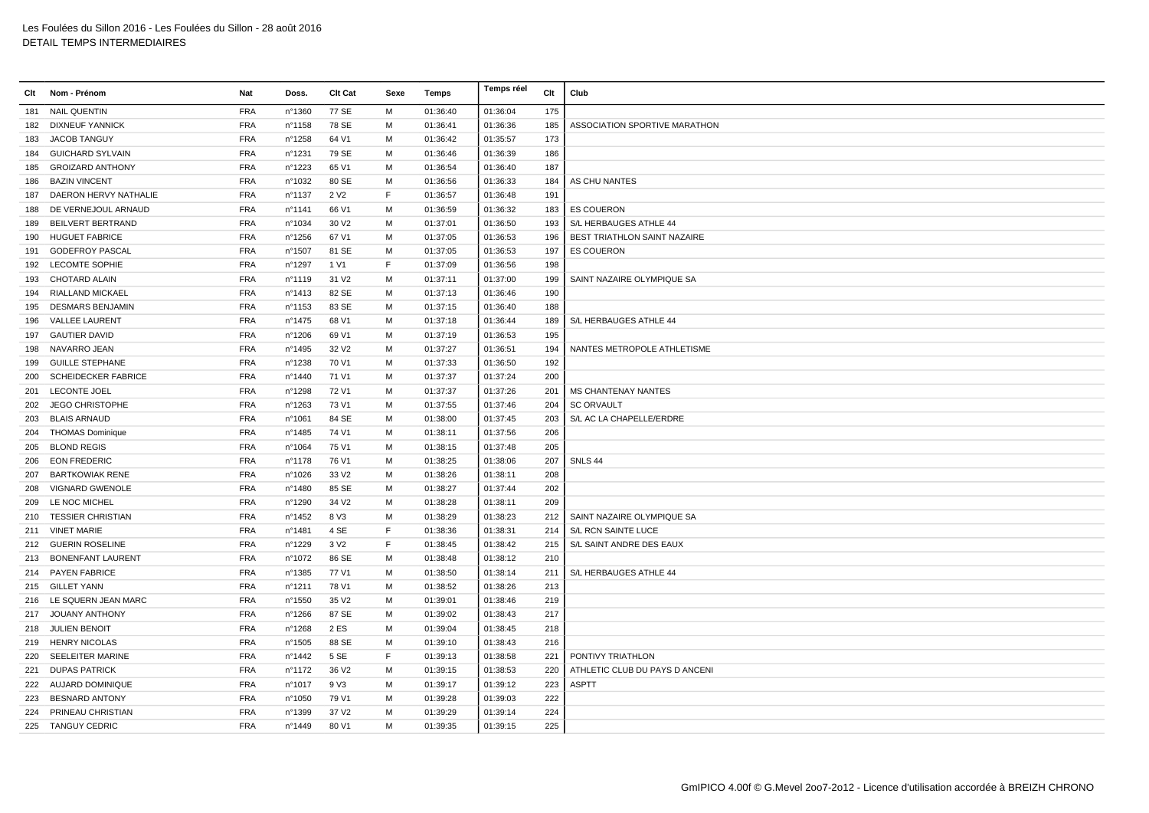| Clt | Nom - Prénom               | Nat        | Doss.  | Clt Cat           | Sexe        | Temps    | Temps réel | Clt | Club                           |
|-----|----------------------------|------------|--------|-------------------|-------------|----------|------------|-----|--------------------------------|
| 181 | <b>NAIL QUENTIN</b>        | <b>FRA</b> | n°1360 | 77 SE             | M           | 01:36:40 | 01:36:04   | 175 |                                |
| 182 | <b>DIXNEUF YANNICK</b>     | <b>FRA</b> | n°1158 | 78 SE             | м           | 01:36:41 | 01:36:36   | 185 | ASSOCIATION SPORTIVE MARATHON  |
| 183 | <b>JACOB TANGUY</b>        | <b>FRA</b> | n°1258 | 64 V1             | М           | 01:36:42 | 01:35:57   | 173 |                                |
| 184 | <b>GUICHARD SYLVAIN</b>    | <b>FRA</b> | n°1231 | 79 SE             | м           | 01:36:46 | 01:36:39   | 186 |                                |
| 185 | <b>GROIZARD ANTHONY</b>    | <b>FRA</b> | n°1223 | 65 V1             | M           | 01:36:54 | 01:36:40   | 187 |                                |
| 186 | <b>BAZIN VINCENT</b>       | <b>FRA</b> | n°1032 | 80 SE             | м           | 01:36:56 | 01:36:33   | 184 | AS CHU NANTES                  |
| 187 | DAERON HERVY NATHALIE      | <b>FRA</b> | n°1137 | 2 V <sub>2</sub>  | $\mathsf F$ | 01:36:57 | 01:36:48   | 191 |                                |
| 188 | DE VERNEJOUL ARNAUD        | <b>FRA</b> | n°1141 | 66 V1             | M           | 01:36:59 | 01:36:32   | 183 | <b>ES COUERON</b>              |
| 189 | BEILVERT BERTRAND          | <b>FRA</b> | n°1034 | 30 V <sub>2</sub> | м           | 01:37:01 | 01:36:50   | 193 | S/L HERBAUGES ATHLE 44         |
| 190 | <b>HUGUET FABRICE</b>      | <b>FRA</b> | n°1256 | 67 V1             | м           | 01:37:05 | 01:36:53   | 196 | BEST TRIATHLON SAINT NAZAIRE   |
| 191 | <b>GODEFROY PASCAL</b>     | <b>FRA</b> | n°1507 | 81 SE             | M           | 01:37:05 | 01:36:53   | 197 | <b>ES COUERON</b>              |
| 192 | <b>LECOMTE SOPHIE</b>      | <b>FRA</b> | n°1297 | 1 V1              | F           | 01:37:09 | 01:36:56   | 198 |                                |
| 193 | <b>CHOTARD ALAIN</b>       | <b>FRA</b> | nº1119 | 31 V <sub>2</sub> | M           | 01:37:11 | 01:37:00   | 199 | SAINT NAZAIRE OLYMPIQUE SA     |
| 194 | <b>RIALLAND MICKAEL</b>    | <b>FRA</b> | n°1413 | 82 SE             | M           | 01:37:13 | 01:36:46   | 190 |                                |
| 195 | <b>DESMARS BENJAMIN</b>    | <b>FRA</b> | n°1153 | 83 SE             | м           | 01:37:15 | 01:36:40   | 188 |                                |
| 196 | <b>VALLEE LAURENT</b>      | <b>FRA</b> | n°1475 | 68 V1             | M           | 01:37:18 | 01:36:44   | 189 | S/L HERBAUGES ATHLE 44         |
| 197 | <b>GAUTIER DAVID</b>       | <b>FRA</b> | n°1206 | 69 V1             | M           | 01:37:19 | 01:36:53   | 195 |                                |
| 198 | NAVARRO JEAN               | <b>FRA</b> | n°1495 | 32 V <sub>2</sub> | M           | 01:37:27 | 01:36:51   | 194 | NANTES METROPOLE ATHLETISME    |
| 199 | <b>GUILLE STEPHANE</b>     | <b>FRA</b> | n°1238 | 70 V1             | M           | 01:37:33 | 01:36:50   | 192 |                                |
| 200 | <b>SCHEIDECKER FABRICE</b> | <b>FRA</b> | nº1440 | 71 V1             | М           | 01:37:37 | 01:37:24   | 200 |                                |
| 201 | <b>LECONTE JOEL</b>        | <b>FRA</b> | n°1298 | 72 V1             | м           | 01:37:37 | 01:37:26   | 201 | <b>MS CHANTENAY NANTES</b>     |
| 202 | <b>JEGO CHRISTOPHE</b>     | <b>FRA</b> | n°1263 | 73 V1             | м           | 01:37:55 | 01:37:46   | 204 | <b>SC ORVAULT</b>              |
| 203 | <b>BLAIS ARNAUD</b>        | <b>FRA</b> | n°1061 | 84 SE             | м           | 01:38:00 | 01:37:45   | 203 | S/L AC LA CHAPELLE/ERDRE       |
|     | 204 THOMAS Dominique       | <b>FRA</b> | n°1485 | 74 V1             | M           | 01:38:11 | 01:37:56   | 206 |                                |
| 205 | <b>BLOND REGIS</b>         | <b>FRA</b> | n°1064 | 75 V1             | м           | 01:38:15 | 01:37:48   | 205 |                                |
| 206 | <b>EON FREDERIC</b>        | <b>FRA</b> | n°1178 | 76 V1             | M           | 01:38:25 | 01:38:06   | 207 | SNLS 44                        |
| 207 | <b>BARTKOWIAK RENE</b>     | <b>FRA</b> | n°1026 | 33 V <sub>2</sub> | M           | 01:38:26 | 01:38:11   | 208 |                                |
| 208 | <b>VIGNARD GWENOLE</b>     | <b>FRA</b> | n°1480 | 85 SE             | м           | 01:38:27 | 01:37:44   | 202 |                                |
| 209 | LE NOC MICHEL              | <b>FRA</b> | n°1290 | 34 V <sub>2</sub> | M           | 01:38:28 | 01:38:11   | 209 |                                |
| 210 | <b>TESSIER CHRISTIAN</b>   | <b>FRA</b> | n°1452 | 8 V3              | м           | 01:38:29 | 01:38:23   | 212 | SAINT NAZAIRE OLYMPIQUE SA     |
|     | 211 VINET MARIE            | <b>FRA</b> | n°1481 | 4 SE              | E           | 01:38:36 | 01:38:31   | 214 | S/L RCN SAINTE LUCE            |
|     | 212 GUERIN ROSELINE        | <b>FRA</b> | n°1229 | 3 V <sub>2</sub>  | $\mathsf F$ | 01:38:45 | 01:38:42   | 215 | S/L SAINT ANDRE DES EAUX       |
| 213 | <b>BONENFANT LAURENT</b>   | <b>FRA</b> | n°1072 | 86 SE             | M           | 01:38:48 | 01:38:12   | 210 |                                |
|     | 214 PAYEN FABRICE          | <b>FRA</b> | nº1385 | 77 V1             | M           | 01:38:50 | 01:38:14   | 211 | S/L HERBAUGES ATHLE 44         |
| 215 | <b>GILLET YANN</b>         | <b>FRA</b> | n°1211 | 78 V1             | м           | 01:38:52 | 01:38:26   | 213 |                                |
|     | 216 LE SQUERN JEAN MARC    | <b>FRA</b> | n°1550 | 35 V2             | м           | 01:39:01 | 01:38:46   | 219 |                                |
|     | 217 JOUANY ANTHONY         | <b>FRA</b> | n°1266 | 87 SE             | M           | 01:39:02 | 01:38:43   | 217 |                                |
| 218 | <b>JULIEN BENOIT</b>       | <b>FRA</b> | n°1268 | 2 ES              | M           | 01:39:04 | 01:38:45   | 218 |                                |
| 219 | <b>HENRY NICOLAS</b>       | <b>FRA</b> | n°1505 | 88 SE             | M           | 01:39:10 | 01:38:43   | 216 |                                |
| 220 | SEELEITER MARINE           | <b>FRA</b> | n°1442 | 5 SE              | F           | 01:39:13 | 01:38:58   | 221 | PONTIVY TRIATHLON              |
| 221 | <b>DUPAS PATRICK</b>       | <b>FRA</b> | n°1172 | 36 V <sub>2</sub> | м           | 01:39:15 | 01:38:53   | 220 | ATHLETIC CLUB DU PAYS D ANCENI |
|     | 222 AUJARD DOMINIQUE       | <b>FRA</b> | n°1017 | 9 V <sub>3</sub>  | M           | 01:39:17 | 01:39:12   | 223 | <b>ASPTT</b>                   |
| 223 | <b>BESNARD ANTONY</b>      | <b>FRA</b> | n°1050 | 79 V1             | м           | 01:39:28 | 01:39:03   | 222 |                                |
| 224 | PRINEAU CHRISTIAN          | <b>FRA</b> | n°1399 | 37 V <sub>2</sub> | M           | 01:39:29 | 01:39:14   | 224 |                                |
|     | 225 TANGUY CEDRIC          | <b>FRA</b> | n°1449 | 80 V1             | м           | 01:39:35 | 01:39:15   | 225 |                                |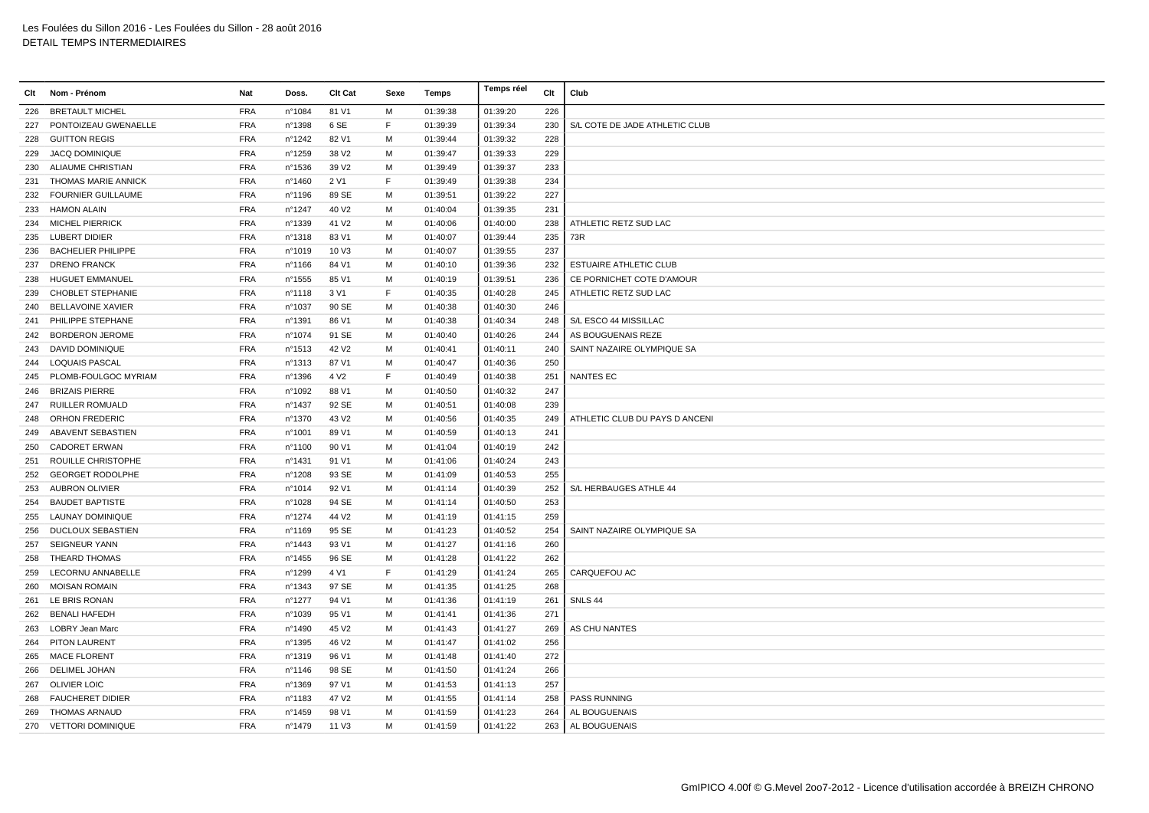| Clt | Nom - Prénom              | Nat        | Doss.  | Clt Cat           | Sexe | Temps    | Temps réel | Clt | Club                           |
|-----|---------------------------|------------|--------|-------------------|------|----------|------------|-----|--------------------------------|
|     | 226 BRETAULT MICHEL       | <b>FRA</b> | n°1084 | 81 V1             | м    | 01:39:38 | 01:39:20   | 226 |                                |
| 227 | PONTOIZEAU GWENAELLE      | <b>FRA</b> | n°1398 | 6 SE              | F    | 01:39:39 | 01:39:34   | 230 | S/L COTE DE JADE ATHLETIC CLUB |
| 228 | <b>GUITTON REGIS</b>      | <b>FRA</b> | n°1242 | 82 V1             | м    | 01:39:44 | 01:39:32   | 228 |                                |
| 229 | <b>JACQ DOMINIQUE</b>     | <b>FRA</b> | n°1259 | 38 V2             | M    | 01:39:47 | 01:39:33   | 229 |                                |
| 230 | ALIAUME CHRISTIAN         | <b>FRA</b> | n°1536 | 39 V <sub>2</sub> | м    | 01:39:49 | 01:39:37   | 233 |                                |
| 231 | THOMAS MARIE ANNICK       | <b>FRA</b> | n°1460 | 2 V1              | F    | 01:39:49 | 01:39:38   | 234 |                                |
| 232 | <b>FOURNIER GUILLAUME</b> | <b>FRA</b> | n°1196 | 89 SE             | м    | 01:39:51 | 01:39:22   | 227 |                                |
| 233 | <b>HAMON ALAIN</b>        | <b>FRA</b> | n°1247 | 40 V <sub>2</sub> | м    | 01:40:04 | 01:39:35   | 231 |                                |
| 234 | <b>MICHEL PIERRICK</b>    | <b>FRA</b> | n°1339 | 41 V <sub>2</sub> | M    | 01:40:06 | 01:40:00   | 238 | ATHLETIC RETZ SUD LAC          |
| 235 | <b>LUBERT DIDIER</b>      | <b>FRA</b> | n°1318 | 83 V1             | M    | 01:40:07 | 01:39:44   | 235 | 73R                            |
| 236 | <b>BACHELIER PHILIPPE</b> | <b>FRA</b> | n°1019 | 10 V3             | M    | 01:40:07 | 01:39:55   | 237 |                                |
| 237 | <b>DRENO FRANCK</b>       | <b>FRA</b> | n°1166 | 84 V1             | м    | 01:40:10 | 01:39:36   | 232 | ESTUAIRE ATHLETIC CLUB         |
| 238 | <b>HUGUET EMMANUEL</b>    | <b>FRA</b> | n°1555 | 85 V1             | м    | 01:40:19 | 01:39:51   | 236 | CE PORNICHET COTE D'AMOUR      |
| 239 | CHOBLET STEPHANIE         | <b>FRA</b> | n°1118 | 3 V1              | E    | 01:40:35 | 01:40:28   | 245 | ATHLETIC RETZ SUD LAC          |
| 240 | <b>BELLAVOINE XAVIER</b>  | <b>FRA</b> | n°1037 | 90 SE             | M    | 01:40:38 | 01:40:30   | 246 |                                |
|     | 241 PHILIPPE STEPHANE     | <b>FRA</b> | n°1391 | 86 V1             | м    | 01:40:38 | 01:40:34   | 248 | S/L ESCO 44 MISSILLAC          |
|     | 242 BORDERON JEROME       | <b>FRA</b> | n°1074 | 91 SE             | м    | 01:40:40 | 01:40:26   | 244 | AS BOUGUENAIS REZE             |
| 243 | DAVID DOMINIQUE           | <b>FRA</b> | n°1513 | 42 V <sub>2</sub> | м    | 01:40:41 | 01:40:11   | 240 | SAINT NAZAIRE OLYMPIQUE SA     |
| 244 | LOQUAIS PASCAL            | <b>FRA</b> | n°1313 | 87 V1             | M    | 01:40:47 | 01:40:36   | 250 |                                |
| 245 | PLOMB-FOULGOC MYRIAM      | <b>FRA</b> | n°1396 | 4 V <sub>2</sub>  | F    | 01:40:49 | 01:40:38   | 251 | <b>NANTES EC</b>               |
| 246 | <b>BRIZAIS PIERRE</b>     | <b>FRA</b> | n°1092 | 88 V1             | м    | 01:40:50 | 01:40:32   | 247 |                                |
| 247 | RUILLER ROMUALD           | <b>FRA</b> | n°1437 | 92 SE             | M    | 01:40:51 | 01:40:08   | 239 |                                |
| 248 | <b>ORHON FREDERIC</b>     | <b>FRA</b> | n°1370 | 43 V <sub>2</sub> | м    | 01:40:56 | 01:40:35   | 249 | ATHLETIC CLUB DU PAYS D ANCENI |
| 249 | ABAVENT SEBASTIEN         | <b>FRA</b> | n°1001 | 89 V1             | м    | 01:40:59 | 01:40:13   | 241 |                                |
| 250 | <b>CADORET ERWAN</b>      | <b>FRA</b> | n°1100 | 90 V1             | M    | 01:41:04 | 01:40:19   | 242 |                                |
| 251 | ROUILLE CHRISTOPHE        | <b>FRA</b> | n°1431 | 91 V1             | M    | 01:41:06 | 01:40:24   | 243 |                                |
| 252 | <b>GEORGET RODOLPHE</b>   | <b>FRA</b> | n°1208 | 93 SE             | M    | 01:41:09 | 01:40:53   | 255 |                                |
| 253 | AUBRON OLIVIER            | <b>FRA</b> | n°1014 | 92 V1             | м    | 01:41:14 | 01:40:39   | 252 | S/L HERBAUGES ATHLE 44         |
| 254 | <b>BAUDET BAPTISTE</b>    | <b>FRA</b> | n°1028 | 94 SE             | м    | 01:41:14 | 01:40:50   | 253 |                                |
| 255 | <b>LAUNAY DOMINIQUE</b>   | <b>FRA</b> | n°1274 | 44 V <sub>2</sub> | M    | 01:41:19 | 01:41:15   | 259 |                                |
| 256 | <b>DUCLOUX SEBASTIEN</b>  | <b>FRA</b> | n°1169 | 95 SE             | м    | 01:41:23 | 01:40:52   | 254 | SAINT NAZAIRE OLYMPIQUE SA     |
| 257 | <b>SEIGNEUR YANN</b>      | <b>FRA</b> | n°1443 | 93 V1             | м    | 01:41:27 | 01:41:16   | 260 |                                |
| 258 | THEARD THOMAS             | <b>FRA</b> | n°1455 | 96 SE             | м    | 01:41:28 | 01:41:22   | 262 |                                |
| 259 | LECORNU ANNABELLE         | <b>FRA</b> | n°1299 | 4 V1              | F    | 01:41:29 | 01:41:24   | 265 | CARQUEFOU AC                   |
| 260 | <b>MOISAN ROMAIN</b>      | <b>FRA</b> | n°1343 | 97 SE             | M    | 01:41:35 | 01:41:25   | 268 |                                |
| 261 | LE BRIS RONAN             | <b>FRA</b> | n°1277 | 94 V1             | м    | 01:41:36 | 01:41:19   | 261 | SNLS 44                        |
| 262 | <b>BENALI HAFEDH</b>      | <b>FRA</b> | n°1039 | 95 V1             | м    | 01:41:41 | 01:41:36   | 271 |                                |
| 263 | LOBRY Jean Marc           | <b>FRA</b> | n°1490 | 45 V2             | м    | 01:41:43 | 01:41:27   | 269 | AS CHU NANTES                  |
| 264 | PITON LAURENT             | <b>FRA</b> | n°1395 | 46 V <sub>2</sub> | м    | 01:41:47 | 01:41:02   | 256 |                                |
| 265 | <b>MACE FLORENT</b>       | <b>FRA</b> | n°1319 | 96 V1             | M    | 01:41:48 | 01:41:40   | 272 |                                |
| 266 | <b>DELIMEL JOHAN</b>      | <b>FRA</b> | n°1146 | 98 SE             | M    | 01:41:50 | 01:41:24   | 266 |                                |
| 267 | <b>OLIVIER LOIC</b>       | <b>FRA</b> | n°1369 | 97 V1             | м    | 01:41:53 | 01:41:13   | 257 |                                |
| 268 | <b>FAUCHERET DIDIER</b>   | <b>FRA</b> | n°1183 | 47 V <sub>2</sub> | м    | 01:41:55 | 01:41:14   | 258 | PASS RUNNING                   |
| 269 | THOMAS ARNAUD             | <b>FRA</b> | n°1459 | 98 V1             | M    | 01:41:59 | 01:41:23   | 264 | AL BOUGUENAIS                  |
|     | 270 VETTORI DOMINIQUE     | <b>FRA</b> | n°1479 | 11 V3             | M    | 01:41:59 | 01:41:22   | 263 | AL BOUGUENAIS                  |
|     |                           |            |        |                   |      |          |            |     |                                |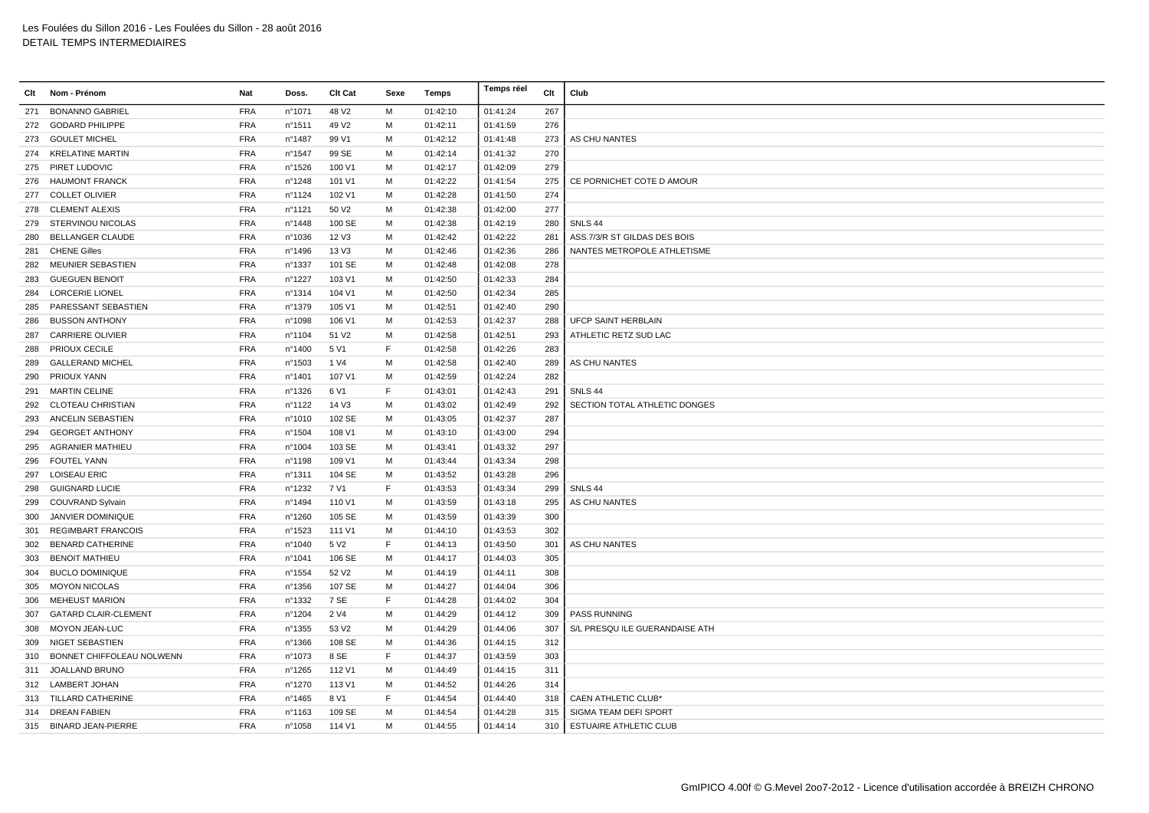| Clt | Nom - Prénom                | Nat        | Doss.  | Clt Cat           | Sexe | Temps    | Temps réel | Clt | Club                          |
|-----|-----------------------------|------------|--------|-------------------|------|----------|------------|-----|-------------------------------|
| 271 | <b>BONANNO GABRIEL</b>      | <b>FRA</b> | n°1071 | 48 V2             | M    | 01:42:10 | 01:41:24   | 267 |                               |
| 272 | <b>GODARD PHILIPPE</b>      | <b>FRA</b> | n°1511 | 49 V <sub>2</sub> | M    | 01:42:11 | 01:41:59   | 276 |                               |
| 273 | <b>GOULET MICHEL</b>        | <b>FRA</b> | n°1487 | 99 V1             | M    | 01:42:12 | 01:41:48   | 273 | AS CHU NANTES                 |
| 274 | <b>KRELATINE MARTIN</b>     | <b>FRA</b> | n°1547 | 99 SE             | M    | 01:42:14 | 01:41:32   | 270 |                               |
|     | 275 PIRET LUDOVIC           | <b>FRA</b> | n°1526 | 100 V1            | M    | 01:42:17 | 01:42:09   | 279 |                               |
|     | 276 HAUMONT FRANCK          | <b>FRA</b> | n°1248 | 101 V1            | M    | 01:42:22 | 01:41:54   | 275 | CE PORNICHET COTE D AMOUR     |
| 277 | <b>COLLET OLIVIER</b>       | <b>FRA</b> | nº1124 | 102 V1            | M    | 01:42:28 | 01:41:50   | 274 |                               |
| 278 | <b>CLEMENT ALEXIS</b>       | <b>FRA</b> | n°1121 | 50 V <sub>2</sub> | M    | 01:42:38 | 01:42:00   | 277 |                               |
| 279 | STERVINOU NICOLAS           | <b>FRA</b> | n°1448 | 100 SE            | M    | 01:42:38 | 01:42:19   | 280 | SNLS 44                       |
| 280 | <b>BELLANGER CLAUDE</b>     | <b>FRA</b> | n°1036 | 12 V3             | M    | 01:42:42 | 01:42:22   | 281 | ASS.7/3/R ST GILDAS DES BOIS  |
| 281 | <b>CHENE Gilles</b>         | <b>FRA</b> | n°1496 | 13 V3             | M    | 01:42:46 | 01:42:36   | 286 | NANTES METROPOLE ATHLETISME   |
| 282 | MEUNIER SEBASTIEN           | <b>FRA</b> | n°1337 | 101 SE            | M    | 01:42:48 | 01:42:08   | 278 |                               |
| 283 | <b>GUEGUEN BENOIT</b>       | <b>FRA</b> | n°1227 | 103 V1            | M    | 01:42:50 | 01:42:33   | 284 |                               |
| 284 | <b>LORCERIE LIONEL</b>      | <b>FRA</b> | n°1314 | 104 V1            | M    | 01:42:50 | 01:42:34   | 285 |                               |
| 285 | PARESSANT SEBASTIEN         | <b>FRA</b> | n°1379 | 105 V1            | M    | 01:42:51 | 01:42:40   | 290 |                               |
| 286 | <b>BUSSON ANTHONY</b>       | <b>FRA</b> | n°1098 | 106 V1            | M    | 01:42:53 | 01:42:37   | 288 | <b>UFCP SAINT HERBLAIN</b>    |
| 287 | <b>CARRIERE OLIVIER</b>     | <b>FRA</b> | nº1104 | 51 V2             | M    | 01:42:58 | 01:42:51   | 293 | ATHLETIC RETZ SUD LAC         |
| 288 | <b>PRIOUX CECILE</b>        | <b>FRA</b> | n°1400 | 5 V1              | E    | 01:42:58 | 01:42:26   | 283 |                               |
| 289 | <b>GALLERAND MICHEL</b>     | <b>FRA</b> | n°1503 | 1 V4              | M    | 01:42:58 | 01:42:40   | 289 | AS CHU NANTES                 |
| 290 | PRIOUX YANN                 | <b>FRA</b> | n°1401 | 107 V1            | M    | 01:42:59 | 01:42:24   | 282 |                               |
| 291 | <b>MARTIN CELINE</b>        | <b>FRA</b> | n°1326 | 6 V1              | E    | 01:43:01 | 01:42:43   | 291 | SNLS 44                       |
| 292 | <b>CLOTEAU CHRISTIAN</b>    | <b>FRA</b> | nº1122 | 14 V3             | M    | 01:43:02 | 01:42:49   | 292 | SECTION TOTAL ATHLETIC DONGES |
| 293 | ANCELIN SEBASTIEN           | <b>FRA</b> | n°1010 | 102 SE            | M    | 01:43:05 | 01:42:37   | 287 |                               |
| 294 | <b>GEORGET ANTHONY</b>      | <b>FRA</b> | n°1504 | 108 V1            | M    | 01:43:10 | 01:43:00   | 294 |                               |
| 295 | <b>AGRANIER MATHIEU</b>     | <b>FRA</b> | n°1004 | 103 SE            | M    | 01:43:41 | 01:43:32   | 297 |                               |
| 296 | <b>FOUTEL YANN</b>          | <b>FRA</b> | n°1198 | 109 V1            | M    | 01:43:44 | 01:43:34   | 298 |                               |
|     | 297 LOISEAU ERIC            | <b>FRA</b> | n°1311 | 104 SE            | M    | 01:43:52 | 01:43:28   | 296 |                               |
| 298 | <b>GUIGNARD LUCIE</b>       | <b>FRA</b> | n°1232 | 7 V1              | F    | 01:43:53 | 01:43:34   | 299 | SNLS 44                       |
| 299 | COUVRAND Sylvain            | <b>FRA</b> | n°1494 | 110 V1            | M    | 01:43:59 | 01:43:18   | 295 | AS CHU NANTES                 |
| 300 | <b>JANVIER DOMINIQUE</b>    | <b>FRA</b> | n°1260 | 105 SE            | M    | 01:43:59 | 01:43:39   | 300 |                               |
| 301 | <b>REGIMBART FRANCOIS</b>   | <b>FRA</b> | n°1523 | 111 V1            | M    | 01:44:10 | 01:43:53   | 302 |                               |
| 302 | <b>BENARD CATHERINE</b>     | <b>FRA</b> | n°1040 | 5 V <sub>2</sub>  | E    | 01:44:13 | 01:43:50   | 301 | AS CHU NANTES                 |
| 303 | <b>BENOIT MATHIEU</b>       | <b>FRA</b> | n°1041 | 106 SE            | M    | 01:44:17 | 01:44:03   | 305 |                               |
| 304 | <b>BUCLO DOMINIQUE</b>      | <b>FRA</b> | n°1554 | 52 V <sub>2</sub> | M    | 01:44:19 | 01:44:11   | 308 |                               |
| 305 | <b>MOYON NICOLAS</b>        | <b>FRA</b> | n°1356 | 107 SE            | M    | 01:44:27 | 01:44:04   | 306 |                               |
| 306 | <b>MEHEUST MARION</b>       | <b>FRA</b> | n°1332 | 7 SE              | F    | 01:44:28 | 01:44:02   | 304 |                               |
| 307 | <b>GATARD CLAIR-CLEMENT</b> | <b>FRA</b> | n°1204 | 2 V4              | M    | 01:44:29 | 01:44:12   | 309 | <b>PASS RUNNING</b>           |
| 308 | <b>MOYON JEAN-LUC</b>       | <b>FRA</b> | n°1355 | 53 V2             | M    | 01:44:29 | 01:44:06   | 307 | S/L PRESQUILE GUERANDAISE ATH |
| 309 | NIGET SEBASTIEN             | <b>FRA</b> | n°1366 | 108 SE            | M    | 01:44:36 | 01:44:15   | 312 |                               |
| 310 | BONNET CHIFFOLEAU NOLWENN   | <b>FRA</b> | n°1073 | 8 SE              | F.   | 01:44:37 | 01:43:59   | 303 |                               |
| 311 | JOALLAND BRUNO              | <b>FRA</b> | n°1265 | 112 V1            | M    | 01:44:49 | 01:44:15   | 311 |                               |
|     | 312 LAMBERT JOHAN           | <b>FRA</b> | n°1270 | 113 V1            | м    | 01:44:52 | 01:44:26   | 314 |                               |
|     | 313 TILLARD CATHERINE       | <b>FRA</b> | n°1465 | 8 V1              | F    | 01:44:54 | 01:44:40   | 318 | CAEN ATHLETIC CLUB*           |
|     | 314 DREAN FABIEN            | <b>FRA</b> | n°1163 | 109 SE            | M    | 01:44:54 | 01:44:28   | 315 | SIGMA TEAM DEFI SPORT         |
|     | 315 BINARD JEAN-PIERRE      | <b>FRA</b> | n°1058 | 114 V1            | M    | 01:44:55 | 01:44:14   | 310 | <b>ESTUAIRE ATHLETIC CLUB</b> |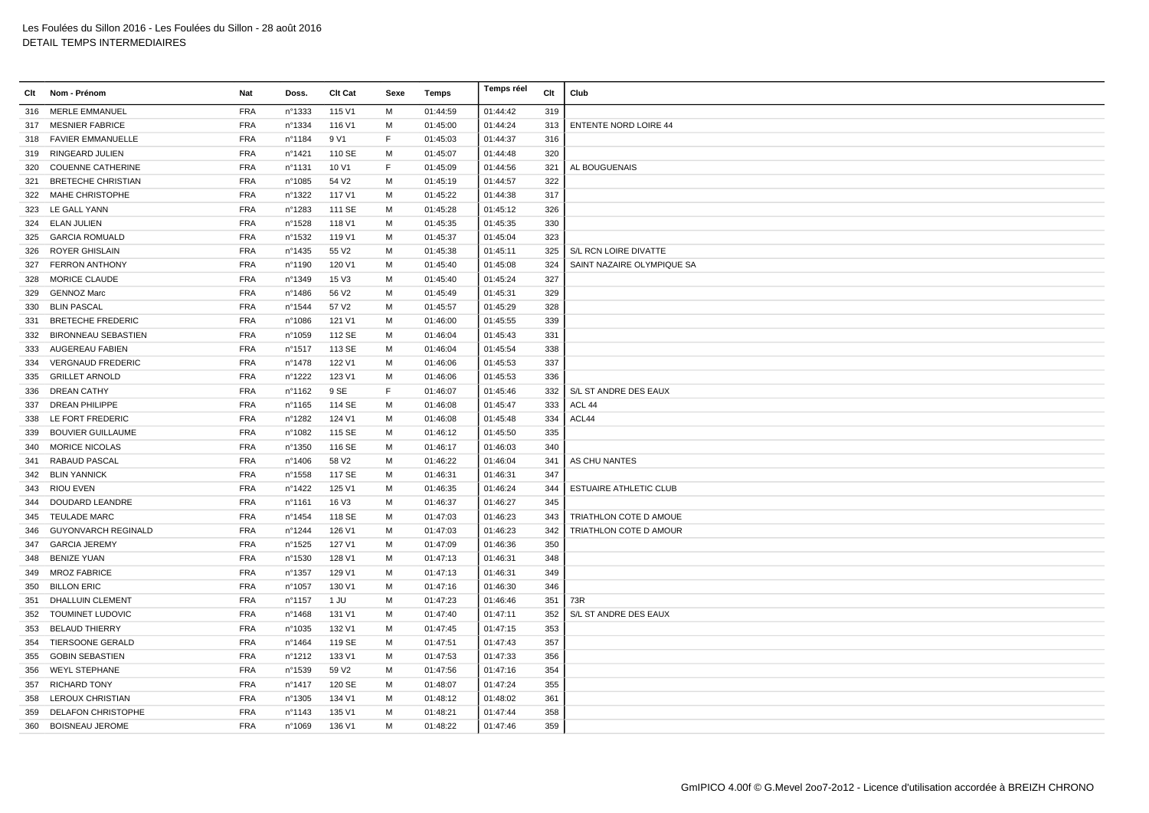| Clt | Nom - Prénom               | Nat        | Doss.  | Clt Cat           | Sexe | Temps    | Temps réel | Clt | Club                          |
|-----|----------------------------|------------|--------|-------------------|------|----------|------------|-----|-------------------------------|
|     | 316 MERLE EMMANUEL         | <b>FRA</b> | n°1333 | 115 V1            | M    | 01:44:59 | 01:44:42   | 319 |                               |
| 317 | <b>MESNIER FABRICE</b>     | <b>FRA</b> | n°1334 | 116 V1            | м    | 01:45:00 | 01:44:24   | 313 | <b>ENTENTE NORD LOIRE 44</b>  |
| 318 | <b>FAVIER EMMANUELLE</b>   | <b>FRA</b> | n°1184 | 9 V1              | F.   | 01:45:03 | 01:44:37   | 316 |                               |
|     | 319 RINGEARD JULIEN        | <b>FRA</b> | n°1421 | 110 SE            | м    | 01:45:07 | 01:44:48   | 320 |                               |
| 320 | <b>COUENNE CATHERINE</b>   | <b>FRA</b> | n°1131 | 10 V1             | F    | 01:45:09 | 01:44:56   | 321 | AL BOUGUENAIS                 |
|     | 321 BRETECHE CHRISTIAN     | <b>FRA</b> | n°1085 | 54 V <sub>2</sub> | м    | 01:45:19 | 01:44:57   | 322 |                               |
| 322 | MAHE CHRISTOPHE            | <b>FRA</b> | n°1322 | 117 V1            | M    | 01:45:22 | 01:44:38   | 317 |                               |
| 323 | LE GALL YANN               | <b>FRA</b> | n°1283 | 111 SE            | M    | 01:45:28 | 01:45:12   | 326 |                               |
|     | 324 ELAN JULIEN            | <b>FRA</b> | n°1528 | 118 V1            | M    | 01:45:35 | 01:45:35   | 330 |                               |
| 325 | <b>GARCIA ROMUALD</b>      | <b>FRA</b> | n°1532 | 119 V1            | м    | 01:45:37 | 01:45:04   | 323 |                               |
| 326 | ROYER GHISLAIN             | <b>FRA</b> | n°1435 | 55 V <sub>2</sub> | м    | 01:45:38 | 01:45:11   | 325 | S/L RCN LOIRE DIVATTE         |
| 327 | <b>FERRON ANTHONY</b>      | <b>FRA</b> | n°1190 | 120 V1            | M    | 01:45:40 | 01:45:08   | 324 | SAINT NAZAIRE OLYMPIQUE SA    |
| 328 | MORICE CLAUDE              | <b>FRA</b> | n°1349 | 15 V3             | м    | 01:45:40 | 01:45:24   | 327 |                               |
| 329 | <b>GENNOZ Marc</b>         | <b>FRA</b> | n°1486 | 56 V <sub>2</sub> | M    | 01:45:49 | 01:45:31   | 329 |                               |
| 330 | <b>BLIN PASCAL</b>         | <b>FRA</b> | n°1544 | 57 V <sub>2</sub> | м    | 01:45:57 | 01:45:29   | 328 |                               |
| 331 | <b>BRETECHE FREDERIC</b>   | <b>FRA</b> | n°1086 | 121 V1            | M    | 01:46:00 | 01:45:55   | 339 |                               |
| 332 | <b>BIRONNEAU SEBASTIEN</b> | <b>FRA</b> | n°1059 | 112 SE            | M    | 01:46:04 | 01:45:43   | 331 |                               |
| 333 | <b>AUGEREAU FABIEN</b>     | <b>FRA</b> | n°1517 | 113 SE            | м    | 01:46:04 | 01:45:54   | 338 |                               |
| 334 | <b>VERGNAUD FREDERIC</b>   | <b>FRA</b> | n°1478 | 122 V1            | м    | 01:46:06 | 01:45:53   | 337 |                               |
| 335 | <b>GRILLET ARNOLD</b>      | <b>FRA</b> | n°1222 | 123 V1            | M    | 01:46:06 | 01:45:53   | 336 |                               |
| 336 | <b>DREAN CATHY</b>         | <b>FRA</b> | n°1162 | 9 SE              | E    | 01:46:07 | 01:45:46   | 332 | S/L ST ANDRE DES EAUX         |
| 337 | <b>DREAN PHILIPPE</b>      | <b>FRA</b> | n°1165 | 114 SE            | M    | 01:46:08 | 01:45:47   | 333 | ACL 44                        |
| 338 | LE FORT FREDERIC           | <b>FRA</b> | n°1282 | 124 V1            | м    | 01:46:08 | 01:45:48   | 334 | ACL44                         |
| 339 | <b>BOUVIER GUILLAUME</b>   | <b>FRA</b> | n°1082 | 115 SE            | м    | 01:46:12 | 01:45:50   | 335 |                               |
| 340 | MORICE NICOLAS             | <b>FRA</b> | n°1350 | 116 SE            | м    | 01:46:17 | 01:46:03   | 340 |                               |
| 341 | RABAUD PASCAL              | <b>FRA</b> | n°1406 | 58 V2             | м    | 01:46:22 | 01:46:04   | 341 | AS CHU NANTES                 |
|     | 342 BLIN YANNICK           | <b>FRA</b> | n°1558 | 117 SE            | м    | 01:46:31 | 01:46:31   | 347 |                               |
| 343 | <b>RIOU EVEN</b>           | <b>FRA</b> | n°1422 | 125 V1            | м    | 01:46:35 | 01:46:24   | 344 | <b>ESTUAIRE ATHLETIC CLUB</b> |
| 344 | DOUDARD LEANDRE            | <b>FRA</b> | n°1161 | 16 V3             | M    | 01:46:37 | 01:46:27   | 345 |                               |
| 345 | <b>TEULADE MARC</b>        | <b>FRA</b> | n°1454 | 118 SE            | M    | 01:47:03 | 01:46:23   | 343 | TRIATHLON COTE D AMOUE        |
| 346 | <b>GUYONVARCH REGINALD</b> | <b>FRA</b> | n°1244 | 126 V1            | м    | 01:47:03 | 01:46:23   | 342 | TRIATHLON COTE D AMOUR        |
| 347 | <b>GARCIA JEREMY</b>       | <b>FRA</b> | n°1525 | 127 V1            | м    | 01:47:09 | 01:46:36   | 350 |                               |
| 348 | <b>BENIZE YUAN</b>         | <b>FRA</b> | n°1530 | 128 V1            | M    | 01:47:13 | 01:46:31   | 348 |                               |
| 349 | <b>MROZ FABRICE</b>        | <b>FRA</b> | n°1357 | 129 V1            | м    | 01:47:13 | 01:46:31   | 349 |                               |
| 350 | <b>BILLON ERIC</b>         | <b>FRA</b> | n°1057 | 130 V1            | м    | 01:47:16 | 01:46:30   | 346 |                               |
| 351 | DHALLUIN CLEMENT           | <b>FRA</b> | n°1157 | 1 JU              | м    | 01:47:23 | 01:46:46   | 351 | 73R                           |
| 352 | TOUMINET LUDOVIC           | <b>FRA</b> | n°1468 | 131 V1            | м    | 01:47:40 | 01:47:11   | 352 | S/L ST ANDRE DES EAUX         |
| 353 | <b>BELAUD THIERRY</b>      | <b>FRA</b> | n°1035 | 132 V1            | M    | 01:47:45 | 01:47:15   | 353 |                               |
| 354 | TIERSOONE GERALD           | <b>FRA</b> | n°1464 | 119 SE            | м    | 01:47:51 | 01:47:43   | 357 |                               |
| 355 | <b>GOBIN SEBASTIEN</b>     | <b>FRA</b> | n°1212 | 133 V1            | M    | 01:47:53 | 01:47:33   | 356 |                               |
|     | 356 WEYL STEPHANE          | <b>FRA</b> | n°1539 | 59 V <sub>2</sub> | M    | 01:47:56 | 01:47:16   | 354 |                               |
| 357 | <b>RICHARD TONY</b>        | <b>FRA</b> | nº1417 | 120 SE            | M    | 01:48:07 | 01:47:24   | 355 |                               |
| 358 | LEROUX CHRISTIAN           | <b>FRA</b> | n°1305 | 134 V1            | M    | 01:48:12 | 01:48:02   | 361 |                               |
| 359 | DELAFON CHRISTOPHE         | <b>FRA</b> | n°1143 | 135 V1            | м    | 01:48:21 | 01:47:44   | 358 |                               |
|     | 360 BOISNEAU JEROME        | <b>FRA</b> | n°1069 | 136 V1            | м    | 01:48:22 | 01:47:46   | 359 |                               |
|     |                            |            |        |                   |      |          |            |     |                               |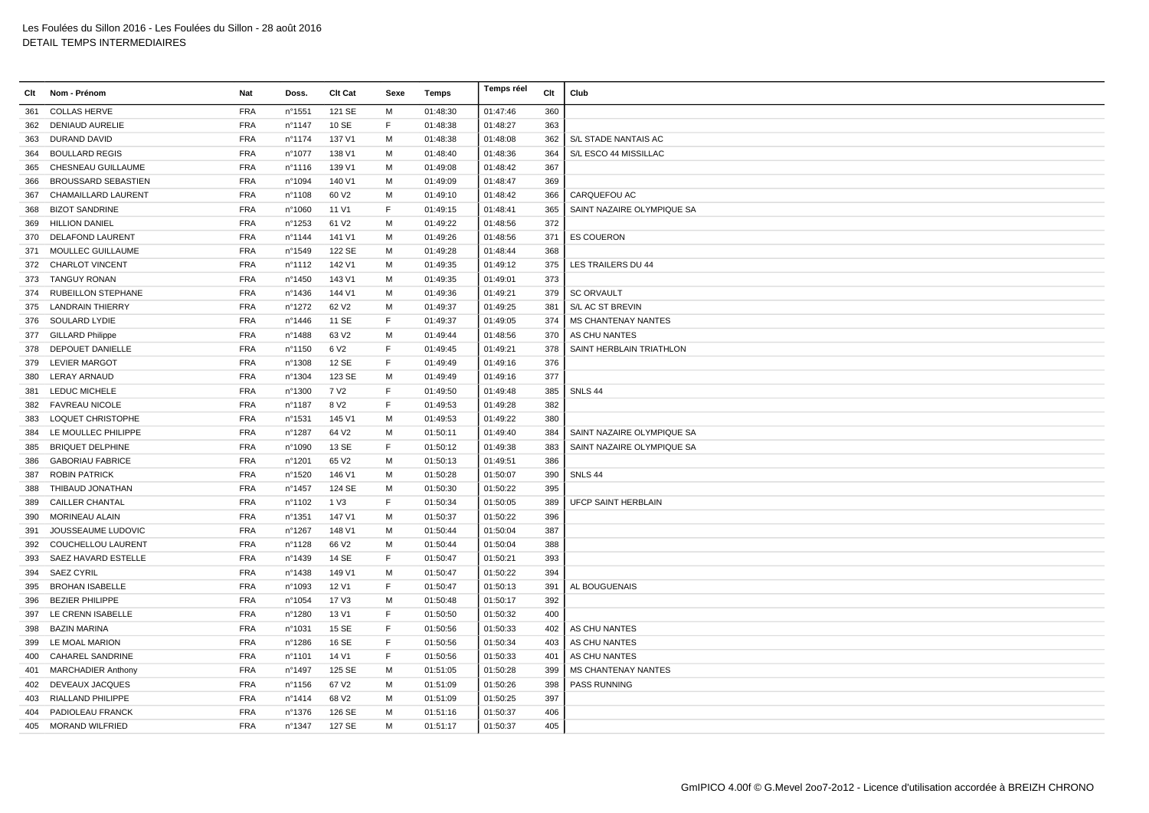|     | Clt Nom - Prénom           | Nat        | Doss.  | <b>Clt Cat</b>    | Sexe        | Temps    | Temps réel | Clt | Club                       |
|-----|----------------------------|------------|--------|-------------------|-------------|----------|------------|-----|----------------------------|
| 361 | <b>COLLAS HERVE</b>        | <b>FRA</b> | n°1551 | 121 SE            | м           | 01:48:30 | 01:47:46   | 360 |                            |
| 362 | <b>DENIAUD AURELIE</b>     | <b>FRA</b> | n°1147 | 10 SE             | F           | 01:48:38 | 01:48:27   | 363 |                            |
| 363 | DURAND DAVID               | <b>FRA</b> | n°1174 | 137 V1            | м           | 01:48:38 | 01:48:08   | 362 | S/L STADE NANTAIS AC       |
| 364 | <b>BOULLARD REGIS</b>      | <b>FRA</b> | n°1077 | 138 V1            | M           | 01:48:40 | 01:48:36   | 364 | S/L ESCO 44 MISSILLAC      |
| 365 | CHESNEAU GUILLAUME         | <b>FRA</b> | n°1116 | 139 V1            | M           | 01:49:08 | 01:48:42   | 367 |                            |
| 366 | <b>BROUSSARD SEBASTIEN</b> | <b>FRA</b> | n°1094 | 140 V1            | M           | 01:49:09 | 01:48:47   | 369 |                            |
| 367 | CHAMAILLARD LAURENT        | <b>FRA</b> | n°1108 | 60 V <sub>2</sub> | M           | 01:49:10 | 01:48:42   | 366 | CARQUEFOU AC               |
| 368 | <b>BIZOT SANDRINE</b>      | <b>FRA</b> | n°1060 | 11 V1             | F           | 01:49:15 | 01:48:41   | 365 | SAINT NAZAIRE OLYMPIQUE SA |
| 369 | <b>HILLION DANIEL</b>      | <b>FRA</b> | n°1253 | 61 V2             | M           | 01:49:22 | 01:48:56   | 372 |                            |
| 370 | DELAFOND LAURENT           | <b>FRA</b> | n°1144 | 141 V1            | M           | 01:49:26 | 01:48:56   | 371 | <b>ES COUERON</b>          |
|     | 371 MOULLEC GUILLAUME      | <b>FRA</b> | n°1549 | 122 SE            | M           | 01:49:28 | 01:48:44   | 368 |                            |
| 372 | <b>CHARLOT VINCENT</b>     | <b>FRA</b> | n°1112 | 142 V1            | M           | 01:49:35 | 01:49:12   | 375 | LES TRAILERS DU 44         |
| 373 | <b>TANGUY RONAN</b>        | <b>FRA</b> | n°1450 | 143 V1            | M           | 01:49:35 | 01:49:01   | 373 |                            |
|     | 374 RUBEILLON STEPHANE     | <b>FRA</b> | n°1436 | 144 V1            | M           | 01:49:36 | 01:49:21   | 379 | <b>SC ORVAULT</b>          |
| 375 | <b>LANDRAIN THIERRY</b>    | <b>FRA</b> | n°1272 | 62 V <sub>2</sub> | M           | 01:49:37 | 01:49:25   | 381 | S/L AC ST BREVIN           |
|     | 376 SOULARD LYDIE          | <b>FRA</b> | n°1446 | 11 SE             | F           | 01:49:37 | 01:49:05   | 374 | <b>MS CHANTENAY NANTES</b> |
| 377 | <b>GILLARD Philippe</b>    | <b>FRA</b> | n°1488 | 63 V <sub>2</sub> | M           | 01:49:44 | 01:48:56   | 370 | AS CHU NANTES              |
| 378 | DEPOUET DANIELLE           | <b>FRA</b> | n°1150 | 6 V <sub>2</sub>  | F           | 01:49:45 | 01:49:21   | 378 | SAINT HERBLAIN TRIATHLON   |
| 379 | <b>LEVIER MARGOT</b>       | <b>FRA</b> | n°1308 | 12 SE             | F           | 01:49:49 | 01:49:16   | 376 |                            |
| 380 | LERAY ARNAUD               | <b>FRA</b> | n°1304 | 123 SE            | M           | 01:49:49 | 01:49:16   | 377 |                            |
|     | 381 LEDUC MICHELE          | <b>FRA</b> | n°1300 | 7 V <sub>2</sub>  | F           | 01:49:50 | 01:49:48   | 385 | SNLS 44                    |
|     | 382 FAVREAU NICOLE         | <b>FRA</b> | n°1187 | 8 V <sub>2</sub>  | E           | 01:49:53 | 01:49:28   | 382 |                            |
| 383 | <b>LOQUET CHRISTOPHE</b>   | <b>FRA</b> | n°1531 | 145 V1            | M           | 01:49:53 | 01:49:22   | 380 |                            |
|     | 384 LE MOULLEC PHILIPPE    | <b>FRA</b> | n°1287 | 64 V2             | M           | 01:50:11 | 01:49:40   | 384 | SAINT NAZAIRE OLYMPIQUE SA |
| 385 | <b>BRIQUET DELPHINE</b>    | <b>FRA</b> | n°1090 | 13 SE             | F           | 01:50:12 | 01:49:38   | 383 | SAINT NAZAIRE OLYMPIQUE SA |
| 386 | <b>GABORIAU FABRICE</b>    | <b>FRA</b> | n°1201 | 65 V <sub>2</sub> | м           | 01:50:13 | 01:49:51   | 386 |                            |
| 387 | <b>ROBIN PATRICK</b>       | <b>FRA</b> | n°1520 | 146 V1            | м           | 01:50:28 | 01:50:07   | 390 | SNLS 44                    |
| 388 | THIBAUD JONATHAN           | <b>FRA</b> | n°1457 | 124 SE            | M           | 01:50:30 | 01:50:22   | 395 |                            |
| 389 | <b>CAILLER CHANTAL</b>     | <b>FRA</b> | n°1102 | 1 V3              | F           | 01:50:34 | 01:50:05   | 389 | <b>UFCP SAINT HERBLAIN</b> |
| 390 | MORINEAU ALAIN             | <b>FRA</b> | n°1351 | 147 V1            | M           | 01:50:37 | 01:50:22   | 396 |                            |
| 391 | JOUSSEAUME LUDOVIC         | <b>FRA</b> | n°1267 | 148 V1            | м           | 01:50:44 | 01:50:04   | 387 |                            |
| 392 | COUCHELLOU LAURENT         | <b>FRA</b> | n°1128 | 66 V <sub>2</sub> | M           | 01:50:44 | 01:50:04   | 388 |                            |
| 393 | SAEZ HAVARD ESTELLE        | <b>FRA</b> | n°1439 | 14 SE             | F           | 01:50:47 | 01:50:21   | 393 |                            |
| 394 | <b>SAEZ CYRIL</b>          | <b>FRA</b> | n°1438 | 149 V1            | M           | 01:50:47 | 01:50:22   | 394 |                            |
| 395 | <b>BROHAN ISABELLE</b>     | <b>FRA</b> | n°1093 | 12 V1             | F           | 01:50:47 | 01:50:13   | 391 | AL BOUGUENAIS              |
| 396 | <b>BEZIER PHILIPPE</b>     | <b>FRA</b> | n°1054 | 17 V3             | м           | 01:50:48 | 01:50:17   | 392 |                            |
| 397 | LE CRENN ISABELLE          | <b>FRA</b> | n°1280 | 13 V1             | F           | 01:50:50 | 01:50:32   | 400 |                            |
| 398 | <b>BAZIN MARINA</b>        | <b>FRA</b> | n°1031 | 15 SE             | F           | 01:50:56 | 01:50:33   | 402 | AS CHU NANTES              |
| 399 | LE MOAL MARION             | <b>FRA</b> | n°1286 | 16 SE             | $\mathsf F$ | 01:50:56 | 01:50:34   | 403 | AS CHU NANTES              |
| 400 | <b>CAHAREL SANDRINE</b>    | <b>FRA</b> | n°1101 | 14 V1             | F           | 01:50:56 | 01:50:33   | 401 | AS CHU NANTES              |
| 401 | <b>MARCHADIER Anthony</b>  | <b>FRA</b> | n°1497 | 125 SE            | м           | 01:51:05 | 01:50:28   | 399 | <b>MS CHANTENAY NANTES</b> |
| 402 | DEVEAUX JACQUES            | <b>FRA</b> | nº1156 | 67 V <sub>2</sub> | M           | 01:51:09 | 01:50:26   | 398 | <b>PASS RUNNING</b>        |
| 403 | RIALLAND PHILIPPE          | <b>FRA</b> | n°1414 | 68 V <sub>2</sub> | M           | 01:51:09 | 01:50:25   | 397 |                            |
| 404 | PADIOLEAU FRANCK           | <b>FRA</b> | n°1376 | 126 SE            | м           | 01:51:16 | 01:50:37   | 406 |                            |
|     | 405 MORAND WILFRIED        | <b>FRA</b> | nº1347 | 127 SE            | М           | 01:51:17 | 01:50:37   | 405 |                            |
|     |                            |            |        |                   |             |          |            |     |                            |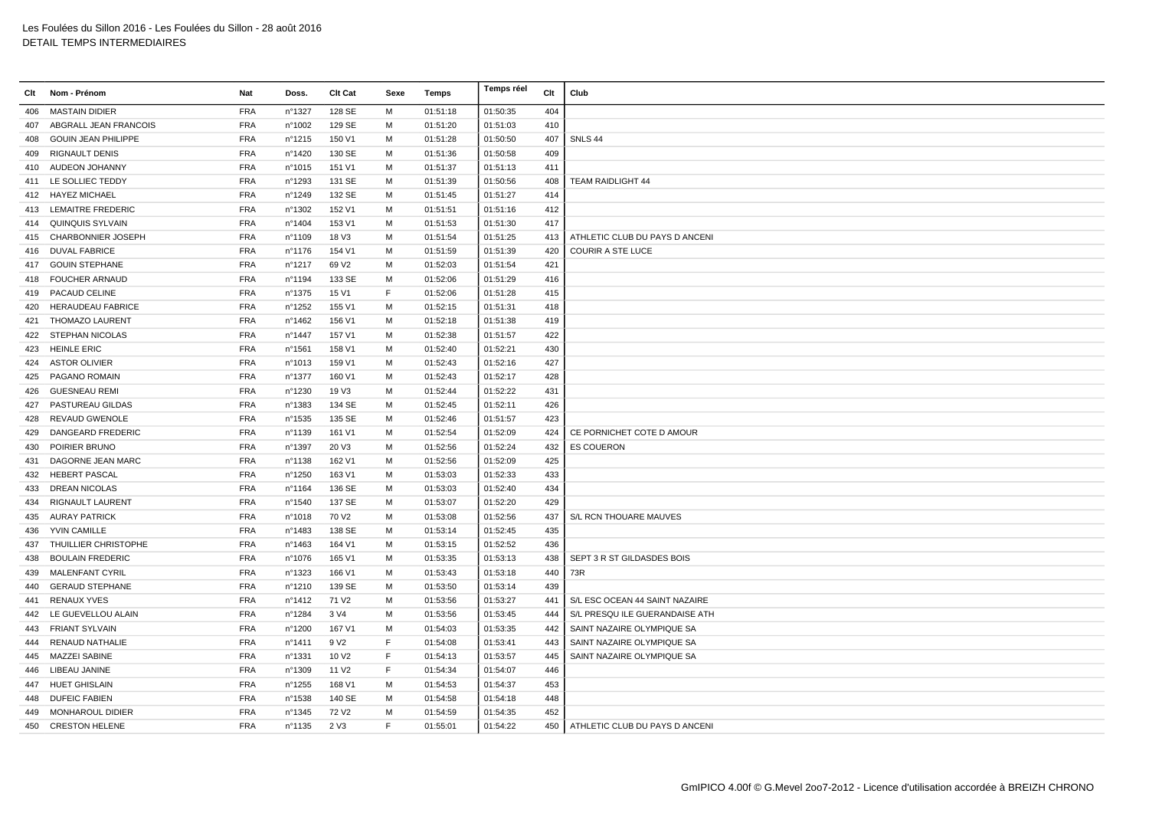| Clt | Nom - Prénom               | Nat        | Doss.            | Clt Cat           | Sexe        | Temps    | Temps réel | Clt | Club                           |
|-----|----------------------------|------------|------------------|-------------------|-------------|----------|------------|-----|--------------------------------|
| 406 | <b>MASTAIN DIDIER</b>      | <b>FRA</b> | n°1327           | 128 SE            | M           | 01:51:18 | 01:50:35   | 404 |                                |
| 407 | ABGRALL JEAN FRANCOIS      | <b>FRA</b> | n°1002           | 129 SE            | M           | 01:51:20 | 01:51:03   | 410 |                                |
| 408 | <b>GOUIN JEAN PHILIPPE</b> | <b>FRA</b> | $n^{\circ}$ 1215 | 150 V1            | M           | 01:51:28 | 01:50:50   | 407 | SNLS 44                        |
| 409 | <b>RIGNAULT DENIS</b>      | <b>FRA</b> | n°1420           | 130 SE            | м           | 01:51:36 | 01:50:58   | 409 |                                |
| 410 | AUDEON JOHANNY             | <b>FRA</b> | nº1015           | 151 V1            | M           | 01:51:37 | 01:51:13   | 411 |                                |
|     | 411 LE SOLLIEC TEDDY       | <b>FRA</b> | n°1293           | 131 SE            | M           | 01:51:39 | 01:50:56   | 408 | TEAM RAIDLIGHT 44              |
| 412 | <b>HAYEZ MICHAEL</b>       | <b>FRA</b> | n°1249           | 132 SE            | M           | 01:51:45 | 01:51:27   | 414 |                                |
| 413 | <b>LEMAITRE FREDERIC</b>   | <b>FRA</b> | n°1302           | 152 V1            | M           | 01:51:51 | 01:51:16   | 412 |                                |
| 414 | QUINQUIS SYLVAIN           | <b>FRA</b> | n°1404           | 153 V1            | M           | 01:51:53 | 01:51:30   | 417 |                                |
| 415 | <b>CHARBONNIER JOSEPH</b>  | <b>FRA</b> | n°1109           | 18 V3             | м           | 01:51:54 | 01:51:25   | 413 | ATHLETIC CLUB DU PAYS D ANCENI |
| 416 | <b>DUVAL FABRICE</b>       | <b>FRA</b> | n°1176           | 154 V1            | M           | 01:51:59 | 01:51:39   | 420 | <b>COURIR A STE LUCE</b>       |
| 417 | <b>GOUIN STEPHANE</b>      | <b>FRA</b> | n°1217           | 69 V <sub>2</sub> | M           | 01:52:03 | 01:51:54   | 421 |                                |
| 418 | <b>FOUCHER ARNAUD</b>      | <b>FRA</b> | nº1194           | 133 SE            | M           | 01:52:06 | 01:51:29   | 416 |                                |
| 419 | PACAUD CELINE              | <b>FRA</b> | nº1375           | 15 V1             | $\mathsf F$ | 01:52:06 | 01:51:28   | 415 |                                |
| 420 | <b>HERAUDEAU FABRICE</b>   | <b>FRA</b> | n°1252           | 155 V1            | M           | 01:52:15 | 01:51:31   | 418 |                                |
| 421 | <b>THOMAZO LAURENT</b>     | <b>FRA</b> | nº1462           | 156 V1            | M           | 01:52:18 | 01:51:38   | 419 |                                |
| 422 | STEPHAN NICOLAS            | <b>FRA</b> | n°1447           | 157 V1            | M           | 01:52:38 | 01:51:57   | 422 |                                |
| 423 | <b>HEINLE ERIC</b>         | <b>FRA</b> | n°1561           | 158 V1            | M           | 01:52:40 | 01:52:21   | 430 |                                |
|     | 424 ASTOR OLIVIER          | <b>FRA</b> | n°1013           | 159 V1            | M           | 01:52:43 | 01:52:16   | 427 |                                |
| 425 | PAGANO ROMAIN              | <b>FRA</b> | n°1377           | 160 V1            | M           | 01:52:43 | 01:52:17   | 428 |                                |
| 426 | <b>GUESNEAU REMI</b>       | <b>FRA</b> | n°1230           | 19 V3             | M           | 01:52:44 | 01:52:22   | 431 |                                |
| 427 | PASTUREAU GILDAS           | <b>FRA</b> | n°1383           | 134 SE            | M           | 01:52:45 | 01:52:11   | 426 |                                |
| 428 | <b>REVAUD GWENOLE</b>      | <b>FRA</b> | n°1535           | 135 SE            | M           | 01:52:46 | 01:51:57   | 423 |                                |
| 429 | DANGEARD FREDERIC          | <b>FRA</b> | n°1139           | 161 V1            | M           | 01:52:54 | 01:52:09   | 424 | CE PORNICHET COTE D AMOUR      |
| 430 | POIRIER BRUNO              | <b>FRA</b> | n°1397           | 20 V3             | м           | 01:52:56 | 01:52:24   | 432 | <b>ES COUERON</b>              |
| 431 | DAGORNE JEAN MARC          | <b>FRA</b> | n°1138           | 162 V1            | м           | 01:52:56 | 01:52:09   | 425 |                                |
| 432 | <b>HEBERT PASCAL</b>       | <b>FRA</b> | n°1250           | 163 V1            | M           | 01:53:03 | 01:52:33   | 433 |                                |
| 433 | <b>DREAN NICOLAS</b>       | <b>FRA</b> | n°1164           | 136 SE            | M           | 01:53:03 | 01:52:40   | 434 |                                |
| 434 | <b>RIGNAULT LAURENT</b>    | <b>FRA</b> | n°1540           | 137 SE            | M           | 01:53:07 | 01:52:20   | 429 |                                |
| 435 | <b>AURAY PATRICK</b>       | <b>FRA</b> | n°1018           | 70 V <sub>2</sub> | M           | 01:53:08 | 01:52:56   | 437 | S/L RCN THOUARE MAUVES         |
| 436 | YVIN CAMILLE               | <b>FRA</b> | n°1483           | 138 SE            | M           | 01:53:14 | 01:52:45   | 435 |                                |
| 437 | THUILLIER CHRISTOPHE       | <b>FRA</b> | n°1463           | 164 V1            | M           | 01:53:15 | 01:52:52   | 436 |                                |
| 438 | <b>BOULAIN FREDERIC</b>    | <b>FRA</b> | nº1076           | 165 V1            | M           | 01:53:35 | 01:53:13   | 438 | SEPT 3 R ST GILDASDES BOIS     |
| 439 | <b>MALENFANT CYRIL</b>     | <b>FRA</b> | n°1323           | 166 V1            | M           | 01:53:43 | 01:53:18   | 440 | 73R                            |
| 440 | <b>GERAUD STEPHANE</b>     | <b>FRA</b> | n°1210           | 139 SE            | M           | 01:53:50 | 01:53:14   | 439 |                                |
| 441 | <b>RENAUX YVES</b>         | <b>FRA</b> | n°1412           | 71 V <sub>2</sub> | M           | 01:53:56 | 01:53:27   | 441 | S/L ESC OCEAN 44 SAINT NAZAIRE |
| 442 | LE GUEVELLOU ALAIN         | <b>FRA</b> | n°1284           | 3 V4              | M           | 01:53:56 | 01:53:45   | 444 | S/L PRESQU ILE GUERANDAISE ATH |
| 443 | <b>FRIANT SYLVAIN</b>      | <b>FRA</b> | n°1200           | 167 V1            | M           | 01:54:03 | 01:53:35   | 442 | SAINT NAZAIRE OLYMPIQUE SA     |
| 444 | RENAUD NATHALIE            | <b>FRA</b> | n°1411           | 9 V <sub>2</sub>  | E           | 01:54:08 | 01:53:41   | 443 | SAINT NAZAIRE OLYMPIQUE SA     |
| 445 | <b>MAZZEI SABINE</b>       | <b>FRA</b> | n°1331           | 10 V <sub>2</sub> | $\mathsf F$ | 01:54:13 | 01:53:57   | 445 | SAINT NAZAIRE OLYMPIQUE SA     |
| 446 | LIBEAU JANINE              | <b>FRA</b> | n°1309           | 11 V <sub>2</sub> | E           | 01:54:34 | 01:54:07   | 446 |                                |
|     | 447 HUET GHISLAIN          | <b>FRA</b> | n°1255           | 168 V1            | M           | 01:54:53 | 01:54:37   | 453 |                                |
| 448 | <b>DUFEIC FABIEN</b>       | <b>FRA</b> | n°1538           | 140 SE            | M           | 01:54:58 | 01:54:18   | 448 |                                |
| 449 | <b>MONHAROUL DIDIER</b>    | <b>FRA</b> | n°1345           | 72 V <sub>2</sub> | м           | 01:54:59 | 01:54:35   | 452 |                                |
|     | 450 CRESTON HELENE         | <b>FRA</b> | $n^{\circ}$ 1135 | 2 V3              | F           | 01:55:01 | 01:54:22   | 450 | ATHLETIC CLUB DU PAYS D ANCENI |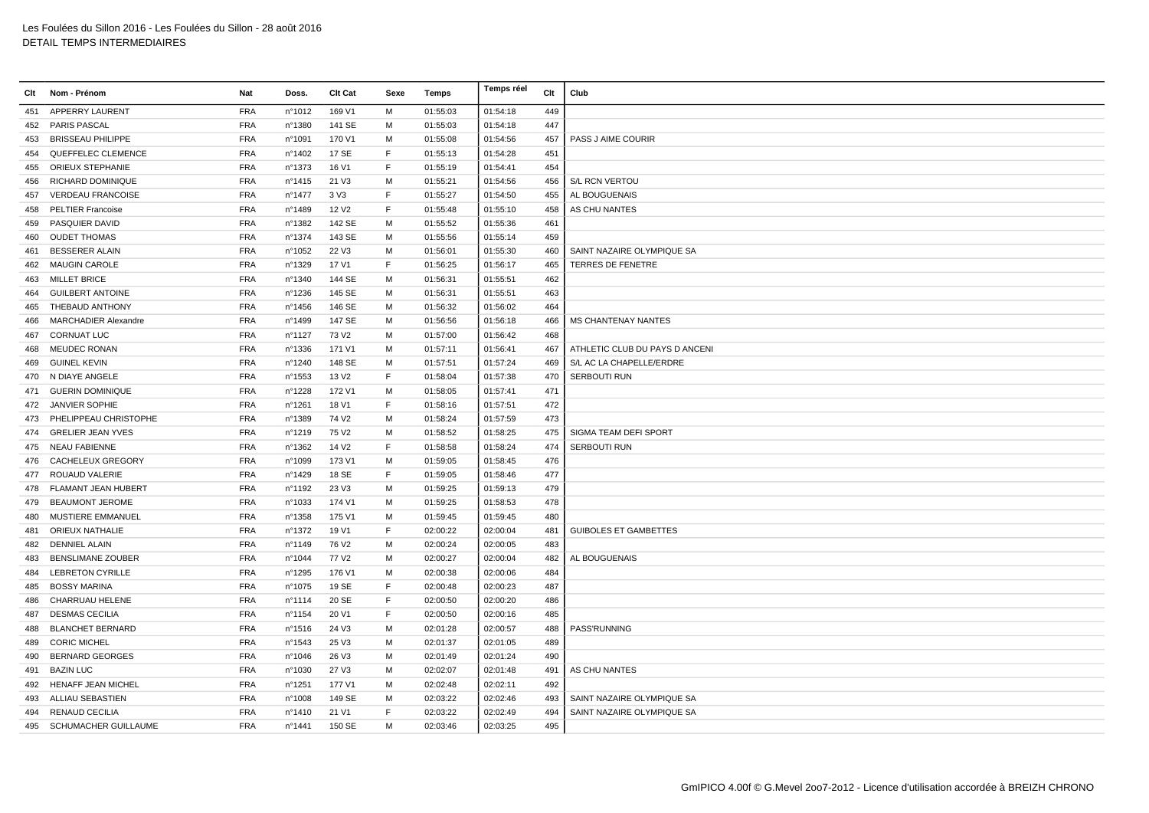|     | Clt Nom - Prénom          | Nat        | Doss.            | <b>Clt Cat</b>    | Sexe | Temps    | Temps réel | Clt | Club                           |
|-----|---------------------------|------------|------------------|-------------------|------|----------|------------|-----|--------------------------------|
| 451 | APPERRY LAURENT           | <b>FRA</b> | n°1012           | 169 V1            | M    | 01:55:03 | 01:54:18   | 449 |                                |
| 452 | <b>PARIS PASCAL</b>       | <b>FRA</b> | n°1380           | 141 SE            | м    | 01:55:03 | 01:54:18   | 447 |                                |
| 453 | <b>BRISSEAU PHILIPPE</b>  | <b>FRA</b> | n°1091           | 170 V1            | м    | 01:55:08 | 01:54:56   | 457 | PASS J AIME COURIR             |
| 454 | QUEFFELEC CLEMENCE        | <b>FRA</b> | n°1402           | 17 SE             | F    | 01:55:13 | 01:54:28   | 451 |                                |
| 455 | ORIEUX STEPHANIE          | <b>FRA</b> | n°1373           | 16 V1             | F    | 01:55:19 | 01:54:41   | 454 |                                |
| 456 | RICHARD DOMINIQUE         | <b>FRA</b> | n°1415           | 21 V3             | M    | 01:55:21 | 01:54:56   | 456 | S/L RCN VERTOU                 |
| 457 | <b>VERDEAU FRANCOISE</b>  | <b>FRA</b> | $n^{\circ}$ 1477 | 3 V3              | E    | 01:55:27 | 01:54:50   | 455 | AL BOUGUENAIS                  |
| 458 | <b>PELTIER Francoise</b>  | <b>FRA</b> | n°1489           | 12 V <sub>2</sub> | F    | 01:55:48 | 01:55:10   | 458 | AS CHU NANTES                  |
| 459 | <b>PASQUIER DAVID</b>     | <b>FRA</b> | n°1382           | 142 SE            | M    | 01:55:52 | 01:55:36   | 461 |                                |
| 460 | <b>OUDET THOMAS</b>       | <b>FRA</b> | n°1374           | 143 SE            | м    | 01:55:56 | 01:55:14   | 459 |                                |
| 461 | <b>BESSERER ALAIN</b>     | <b>FRA</b> | n°1052           | 22 V3             | м    | 01:56:01 | 01:55:30   | 460 | SAINT NAZAIRE OLYMPIQUE SA     |
| 462 | <b>MAUGIN CAROLE</b>      | <b>FRA</b> | n°1329           | 17 V1             | F    | 01:56:25 | 01:56:17   | 465 | <b>TERRES DE FENETRE</b>       |
| 463 | <b>MILLET BRICE</b>       | <b>FRA</b> | nº1340           | 144 SE            | M    | 01:56:31 | 01:55:51   | 462 |                                |
| 464 | <b>GUILBERT ANTOINE</b>   | <b>FRA</b> | n°1236           | 145 SE            | M    | 01:56:31 | 01:55:51   | 463 |                                |
| 465 | THEBAUD ANTHONY           | <b>FRA</b> | n°1456           | 146 SE            | М    | 01:56:32 | 01:56:02   | 464 |                                |
| 466 | MARCHADIER Alexandre      | <b>FRA</b> | n°1499           | 147 SE            | м    | 01:56:56 | 01:56:18   | 466 | <b>MS CHANTENAY NANTES</b>     |
| 467 | <b>CORNUAT LUC</b>        | <b>FRA</b> | nº1127           | 73 V <sub>2</sub> | M    | 01:57:00 | 01:56:42   | 468 |                                |
| 468 | <b>MEUDEC RONAN</b>       | <b>FRA</b> | n°1336           | 171 V1            | M    | 01:57:11 | 01:56:41   | 467 | ATHLETIC CLUB DU PAYS D ANCENI |
| 469 | <b>GUINEL KEVIN</b>       | <b>FRA</b> | n°1240           | 148 SE            | M    | 01:57:51 | 01:57:24   | 469 | S/L AC LA CHAPELLE/ERDRE       |
| 470 | N DIAYE ANGELE            | <b>FRA</b> | n°1553           | 13 V <sub>2</sub> | F    | 01:58:04 | 01:57:38   | 470 | SERBOUTI RUN                   |
| 471 | <b>GUERIN DOMINIQUE</b>   | <b>FRA</b> | n°1228           | 172 V1            | м    | 01:58:05 | 01:57:41   | 471 |                                |
| 472 | <b>JANVIER SOPHIE</b>     | <b>FRA</b> | n°1261           | 18 V1             | F    | 01:58:16 | 01:57:51   | 472 |                                |
|     | 473 PHELIPPEAU CHRISTOPHE | <b>FRA</b> | n°1389           | 74 V <sub>2</sub> | M    | 01:58:24 | 01:57:59   | 473 |                                |
| 474 | <b>GRELIER JEAN YVES</b>  | <b>FRA</b> | n°1219           | 75 V <sub>2</sub> | м    | 01:58:52 | 01:58:25   | 475 | SIGMA TEAM DEFI SPORT          |
| 475 | <b>NEAU FABIENNE</b>      | <b>FRA</b> | n°1362           | 14 V <sub>2</sub> | E    | 01:58:58 | 01:58:24   | 474 | <b>SERBOUTI RUN</b>            |
| 476 | CACHELEUX GREGORY         | <b>FRA</b> | n°1099           | 173 V1            | M    | 01:59:05 | 01:58:45   | 476 |                                |
|     | 477 ROUAUD VALERIE        | <b>FRA</b> | n°1429           | 18 SE             | E    | 01:59:05 | 01:58:46   | 477 |                                |
|     | 478 FLAMANT JEAN HUBERT   | <b>FRA</b> | n°1192           | 23 V3             | M    | 01:59:25 | 01:59:13   | 479 |                                |
| 479 | <b>BEAUMONT JEROME</b>    | <b>FRA</b> | n°1033           | 174 V1            | м    | 01:59:25 | 01:58:53   | 478 |                                |
| 480 | MUSTIERE EMMANUEL         | <b>FRA</b> | n°1358           | 175 V1            | м    | 01:59:45 | 01:59:45   | 480 |                                |
| 481 | ORIEUX NATHALIE           | <b>FRA</b> | n°1372           | 19 V1             | F.   | 02:00:22 | 02:00:04   | 481 | <b>GUIBOLES ET GAMBETTES</b>   |
| 482 | <b>DENNIEL ALAIN</b>      | <b>FRA</b> | nº1149           | 76 V <sub>2</sub> | м    | 02:00:24 | 02:00:05   | 483 |                                |
| 483 | <b>BENSLIMANE ZOUBER</b>  | <b>FRA</b> | nº1044           | 77 V <sub>2</sub> | M    | 02:00:27 | 02:00:04   | 482 | AL BOUGUENAIS                  |
| 484 | <b>LEBRETON CYRILLE</b>   | <b>FRA</b> | n°1295           | 176 V1            | M    | 02:00:38 | 02:00:06   | 484 |                                |
| 485 | <b>BOSSY MARINA</b>       | <b>FRA</b> | n°1075           | 19 SE             | F    | 02:00:48 | 02:00:23   | 487 |                                |
| 486 | CHARRUAU HELENE           | <b>FRA</b> | n°1114           | 20 SE             | F    | 02:00:50 | 02:00:20   | 486 |                                |
| 487 | <b>DESMAS CECILIA</b>     | <b>FRA</b> | n°1154           | 20 V1             | F.   | 02:00:50 | 02:00:16   | 485 |                                |
| 488 | <b>BLANCHET BERNARD</b>   | <b>FRA</b> | n°1516           | 24 V3             | M    | 02:01:28 | 02:00:57   | 488 | PASS'RUNNING                   |
| 489 | <b>CORIC MICHEL</b>       | <b>FRA</b> | n°1543           | 25 V3             | M    | 02:01:37 | 02:01:05   | 489 |                                |
| 490 | <b>BERNARD GEORGES</b>    | <b>FRA</b> | n°1046           | 26 V3             | м    | 02:01:49 | 02:01:24   | 490 |                                |
| 491 | <b>BAZIN LUC</b>          | <b>FRA</b> | n°1030           | 27 V3             | м    | 02:02:07 | 02:01:48   | 491 | AS CHU NANTES                  |
| 492 | <b>HENAFF JEAN MICHEL</b> | <b>FRA</b> | n°1251           | 177 V1            | M    | 02:02:48 | 02:02:11   | 492 |                                |
| 493 | ALLIAU SEBASTIEN          | <b>FRA</b> | n°1008           | 149 SE            | м    | 02:03:22 | 02:02:46   | 493 | SAINT NAZAIRE OLYMPIQUE SA     |
|     | 494 RENAUD CECILIA        | <b>FRA</b> | n°1410           | 21 V1             | F    | 02:03:22 | 02:02:49   | 494 | SAINT NAZAIRE OLYMPIQUE SA     |
|     | 495 SCHUMACHER GUILLAUME  | <b>FRA</b> | n°1441           | 150 SE            | M    | 02:03:46 | 02:03:25   | 495 |                                |
|     |                           |            |                  |                   |      |          |            |     |                                |